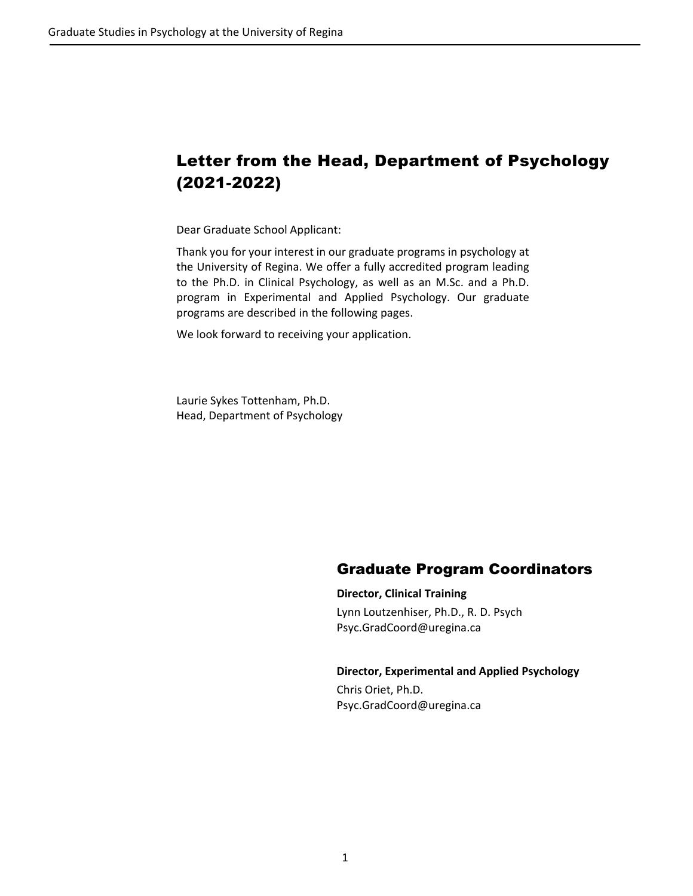# Letter from the Head, Department of Psychology (2021-2022)

Dear Graduate School Applicant:

Thank you for your interest in our graduate programs in psychology at the University of Regina. We offer a fully accredited program leading to the Ph.D. in Clinical Psychology, as well as an M.Sc. and a Ph.D. program in Experimental and Applied Psychology. Our graduate programs are described in the following pages.

We look forward to receiving your application.

Laurie Sykes Tottenham, Ph.D. Head, Department of Psychology

# Graduate Program Coordinators

**Director, Clinical Training**

Lynn Loutzenhiser, Ph.D., R. D. Psych Psyc.GradCoord@uregina.ca

### **Director, Experimental and Applied Psychology**

Chris Oriet, Ph.D. Psyc.GradCoord@uregina.ca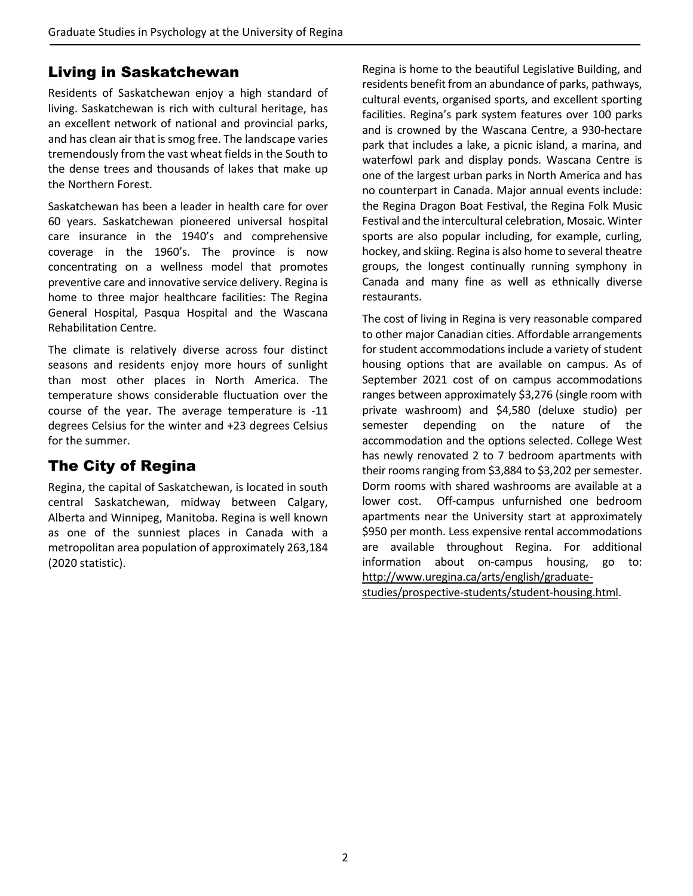# Living in Saskatchewan

Residents of Saskatchewan enjoy a high standard of living. Saskatchewan is rich with cultural heritage, has an excellent network of national and provincial parks, and has clean air that is smog free. The landscape varies tremendously from the vast wheat fieldsin the South to the dense trees and thousands of lakes that make up the Northern Forest.

Saskatchewan has been a leader in health care for over 60 years. Saskatchewan pioneered universal hospital care insurance in the 1940's and comprehensive coverage in the 1960's. The province is now concentrating on a wellness model that promotes preventive care and innovative service delivery. Regina is home to three major healthcare facilities: The Regina General Hospital, Pasqua Hospital and the Wascana Rehabilitation Centre.

The climate is relatively diverse across four distinct seasons and residents enjoy more hours of sunlight than most other places in North America. The temperature shows considerable fluctuation over the course of the year. The average temperature is ‐11 degrees Celsius for the winter and +23 degrees Celsius for the summer.

# The City of Regina

Regina, the capital of Saskatchewan, is located in south central Saskatchewan, midway between Calgary, Alberta and Winnipeg, Manitoba. Regina is well known as one of the sunniest places in Canada with a metropolitan area population of approximately 263,184 (2020 statistic).

Regina is home to the beautiful Legislative Building, and residents benefit from an abundance of parks, pathways, cultural events, organised sports, and excellent sporting facilities. Regina's park system features over 100 parks and is crowned by the Wascana Centre, a 930‐hectare park that includes a lake, a picnic island, a marina, and waterfowl park and display ponds. Wascana Centre is one of the largest urban parks in North America and has no counterpart in Canada. Major annual events include: the Regina Dragon Boat Festival, the Regina Folk Music Festival and the intercultural celebration, Mosaic. Winter sports are also popular including, for example, curling, hockey, and skiing. Regina is also home to several theatre groups, the longest continually running symphony in Canada and many fine as well as ethnically diverse restaurants.

The cost of living in Regina is very reasonable compared to other major Canadian cities. Affordable arrangements for student accommodations include a variety of student housing options that are available on campus. As of September 2021 cost of on campus accommodations ranges between approximately \$3,276 (single room with private washroom) and \$4,580 (deluxe studio) per semester depending on the nature of the accommodation and the options selected. College West has newly renovated 2 to 7 bedroom apartments with their rooms ranging from \$3,884 to \$3,202 per semester. Dorm rooms with shared washrooms are available at a lower cost. Off-campus unfurnished one bedroom apartments near the University start at approximately \$950 per month. Less expensive rental accommodations are available throughout Regina. For additional information about on-campus housing, go to: http://www.uregina.ca/arts/english/graduate‐

studies/prospective‐students/student‐housing.html.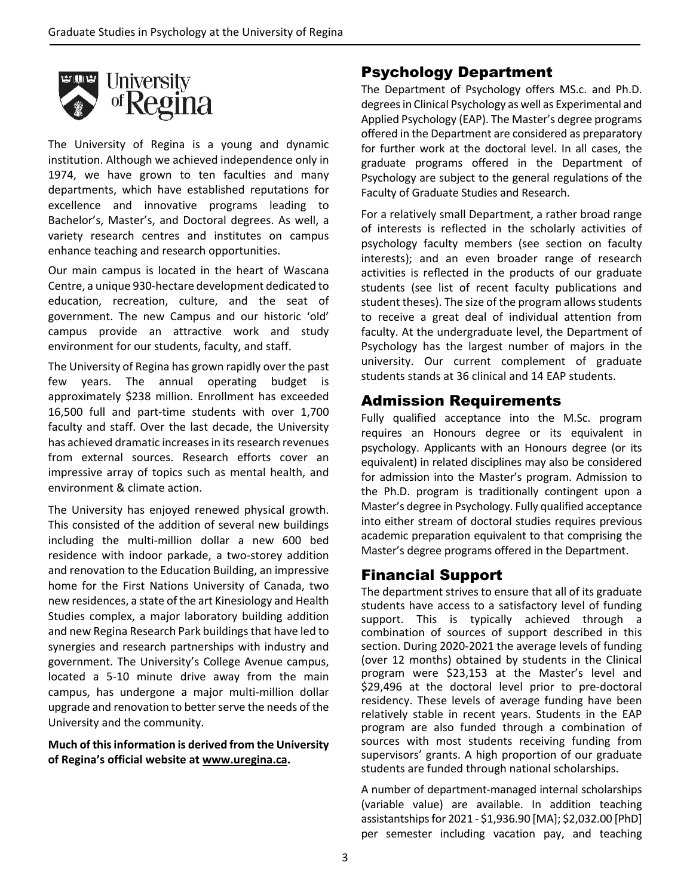

The University of Regina is a young and dynamic institution. Although we achieved independence only in 1974, we have grown to ten faculties and many departments, which have established reputations for excellence and innovative programs leading to Bachelor's, Master's, and Doctoral degrees. As well, a variety research centres and institutes on campus enhance teaching and research opportunities.

Our main campus is located in the heart of Wascana Centre, a unique 930‐hectare development dedicated to education, recreation, culture, and the seat of government. The new Campus and our historic 'old' campus provide an attractive work and study environment for our students, faculty, and staff.

The University of Regina has grown rapidly over the past few years. The annual operating budget is approximately \$238 million. Enrollment has exceeded 16,500 full and part‐time students with over 1,700 faculty and staff. Over the last decade, the University has achieved dramatic increasesin itsresearch revenues from external sources. Research efforts cover an impressive array of topics such as mental health, and environment & climate action.

The University has enjoyed renewed physical growth. This consisted of the addition of several new buildings including the multi‐million dollar a new 600 bed residence with indoor parkade, a two‐storey addition and renovation to the Education Building, an impressive home for the First Nations University of Canada, two new residences, a state of the art Kinesiology and Health Studies complex, a major laboratory building addition and new Regina Research Park buildings that have led to synergies and research partnerships with industry and government. The University's College Avenue campus, located a 5‐10 minute drive away from the main campus, has undergone a major multi‐million dollar upgrade and renovation to better serve the needs of the University and the community.

### **Much of thisinformation is derived from the University of Regina's official website at www.uregina.ca.**

# Psychology Department

The Department of Psychology offers MS.c. and Ph.D. degrees in Clinical Psychology as well as Experimental and Applied Psychology (EAP). The Master's degree programs offered in the Department are considered as preparatory for further work at the doctoral level. In all cases, the graduate programs offered in the Department of Psychology are subject to the general regulations of the Faculty of Graduate Studies and Research.

For a relatively small Department, a rather broad range of interests is reflected in the scholarly activities of psychology faculty members (see section on faculty interests); and an even broader range of research activities is reflected in the products of our graduate students (see list of recent faculty publications and student theses). The size of the program allows students to receive a great deal of individual attention from faculty. At the undergraduate level, the Department of Psychology has the largest number of majors in the university. Our current complement of graduate students stands at 36 clinical and 14 EAP students.

# Admission Requirements

Fully qualified acceptance into the M.Sc. program requires an Honours degree or its equivalent in psychology. Applicants with an Honours degree (or its equivalent) in related disciplines may also be considered for admission into the Master's program. Admission to the Ph.D. program is traditionally contingent upon a Master's degree in Psychology. Fully qualified acceptance into either stream of doctoral studies requires previous academic preparation equivalent to that comprising the Master's degree programs offered in the Department.

# Financial Support

The department strives to ensure that all of its graduate students have access to a satisfactory level of funding support. This is typically achieved through a combination of sources of support described in this section. During 2020‐2021 the average levels of funding (over 12 months) obtained by students in the Clinical program were \$23,153 at the Master's level and \$29,496 at the doctoral level prior to pre-doctoral residency. These levels of average funding have been relatively stable in recent years. Students in the EAP program are also funded through a combination of sources with most students receiving funding from supervisors' grants. A high proportion of our graduate students are funded through national scholarships.

A number of department‐managed internal scholarships (variable value) are available. In addition teaching assistantshipsfor 2021 ‐ \$1,936.90 [MA]; \$2,032.00 [PhD] per semester including vacation pay, and teaching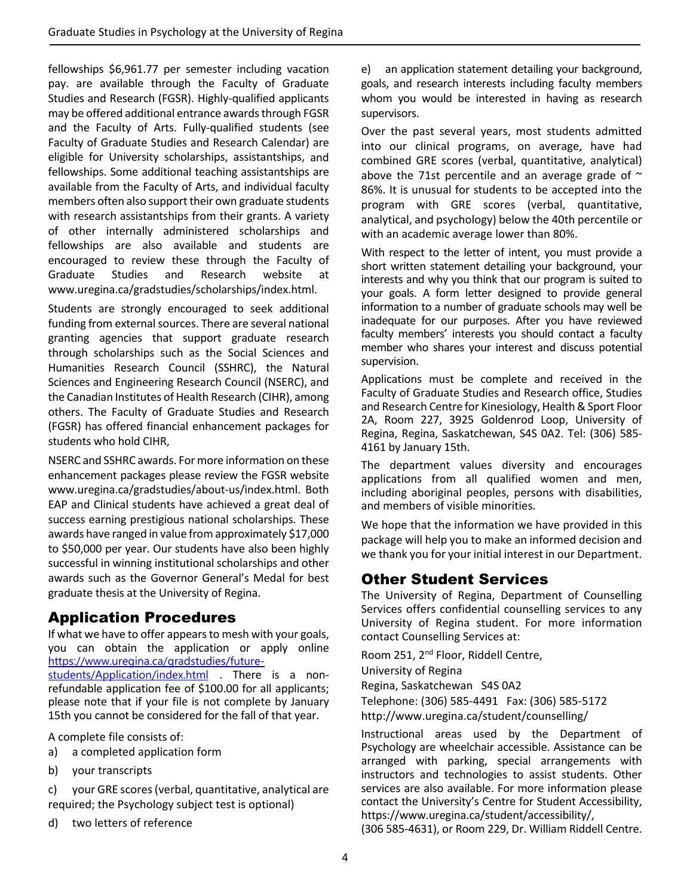fellowships \$6,961.77 per semester including vacation pay. are available through the Faculty of Graduate Studies and Research (FGSR). Highly‐qualified applicants may be offered additional entrance awards through FGSR and the Faculty of Arts. Fully‐qualified students (see Faculty of Graduate Studies and Research Calendar) are eligible for University scholarships, assistantships, and fellowships. Some additional teaching assistantships are available from the Faculty of Arts, and individual faculty members often also support their own graduate students with research assistantships from their grants. A variety of other internally administered scholarships and fellowships are also available and students are encouraged to review these through the Faculty of Graduate Studies and Research website at www.uregina.ca/gradstudies/scholarships/index.html.

Students are strongly encouraged to seek additional funding from external sources. There are several national granting agencies that support graduate research through scholarships such as the Social Sciences and Humanities Research Council (SSHRC), the Natural Sciences and Engineering Research Council (NSERC), and the Canadian Institutes of Health Research (CIHR), among others. The Faculty of Graduate Studies and Research (FGSR) has offered financial enhancement packages for students who hold CIHR,

NSERC and SSHRC awards. For more information on these enhancement packages please review the FGSR website www.uregina.ca/gradstudies/about‐us/index.html. Both EAP and Clinical students have achieved a great deal of success earning prestigious national scholarships. These awards have ranged in value fromapproximately \$17,000 to \$50,000 per year. Our students have also been highly successful in winning institutional scholarships and other awards such as the Governor General's Medal for best graduate thesis at the University of Regina.

# Application Procedures

If what we have to offer appears to mesh with your goals, you can obtain the application or apply online https://www.uregina.ca/gradstudies/futurestudents/Application/index.html . There is a nonrefundable application fee of \$100.00 for all applicants; please note that if your file is not complete by January 15th you cannot be considered for the fall of that year.

A complete file consists of:

- a) a completed application form
- b) your transcripts

c) your GRE scores(verbal, quantitative, analytical are required; the Psychology subject test is optional)

d) two letters of reference

e) an application statement detailing your background, goals, and research interests including faculty members whom you would be interested in having as research supervisors.

Over the past several years, most students admitted into our clinical programs, on average, have had combined GRE scores (verbal, quantitative, analytical) above the 71st percentile and an average grade of  $\sim$ 86%. It is unusual for students to be accepted into the program with GRE scores (verbal, quantitative, analytical, and psychology) below the 40th percentile or with an academic average lower than 80%.

With respect to the letter of intent, you must provide a short written statement detailing your background, your interests and why you think that our program is suited to your goals. A form letter designed to provide general information to a number of graduate schools may well be inadequate for our purposes. After you have reviewed faculty members' interests you should contact a faculty member who shares your interest and discuss potential supervision.

Applications must be complete and received in the Faculty of Graduate Studies and Research office, Studies and Research Centre for Kinesiology, Health & Sport Floor 2A, Room 227, 3925 Goldenrod Loop, University of Regina, Regina, Saskatchewan, S4S 0A2. Tel: (306) 585‐ 4161 by January 15th.

The department values diversity and encourages applications from all qualified women and men, including aboriginal peoples, persons with disabilities, and members of visible minorities.

We hope that the information we have provided in this package will help you to make an informed decision and we thank you for your initial interest in our Department.

# Other Student Services

The University of Regina, Department of Counselling Services offers confidential counselling services to any University of Regina student. For more information contact Counselling Services at:

Room 251, 2nd Floor, Riddell Centre, University of Regina Regina, Saskatchewan S4S 0A2 Telephone: (306) 585‐4491 Fax: (306) 585‐5172 http://www.uregina.ca/student/counselling/

Instructional areas used by the Department of Psychology are wheelchair accessible. Assistance can be arranged with parking, special arrangements with instructors and technologies to assist students. Other services are also available. For more information please contact the University's Centre for Student Accessibility, https://www.uregina.ca/student/accessibility/,

(306 585‐4631), or Room 229, Dr. William Riddell Centre.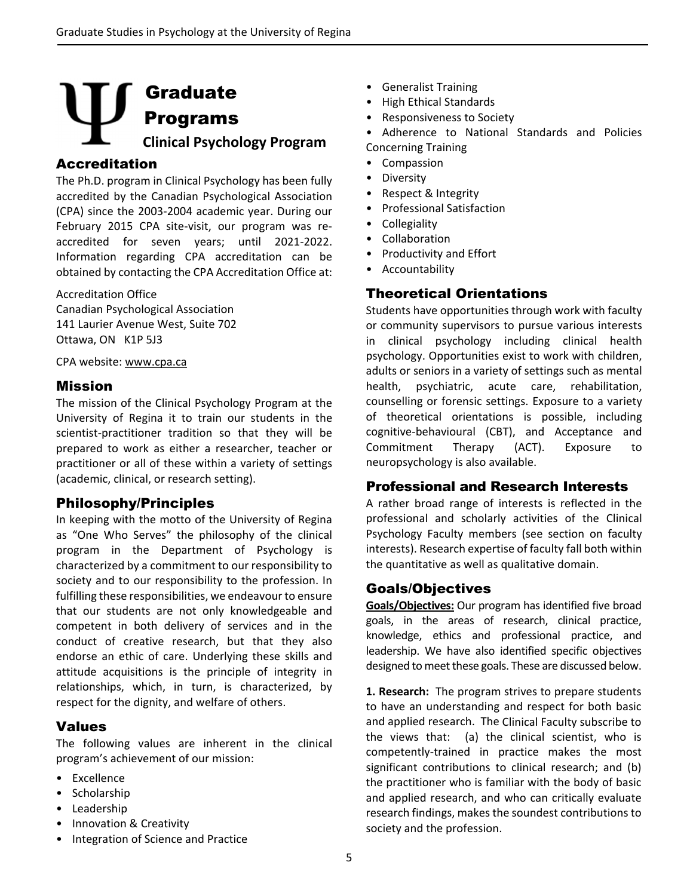# Graduate Programs  **Clinical Psychology Program**

### Accreditation

The Ph.D. program in Clinical Psychology has been fully accredited by the Canadian Psychological Association (CPA) since the 2003‐2004 academic year. During our February 2015 CPA site-visit, our program was reaccredited for seven years; until 2021‐2022. Information regarding CPA accreditation can be obtained by contacting the CPA Accreditation Office at:

Accreditation Office Canadian Psychological Association 141 Laurier Avenue West, Suite 702 Ottawa, ON K1P 5J3

CPA website: www.cpa.ca

### Mission

The mission of the Clinical Psychology Program at the University of Regina it to train our students in the scientist-practitioner tradition so that they will be prepared to work as either a researcher, teacher or practitioner or all of these within a variety of settings (academic, clinical, or research setting).

### Philosophy/Principles

In keeping with the motto of the University of Regina as "One Who Serves" the philosophy of the clinical program in the Department of Psychology is characterized by a commitment to our responsibility to society and to our responsibility to the profession. In fulfilling these responsibilities, we endeavour to ensure that our students are not only knowledgeable and competent in both delivery of services and in the conduct of creative research, but that they also endorse an ethic of care. Underlying these skills and attitude acquisitions is the principle of integrity in relationships, which, in turn, is characterized, by respect for the dignity, and welfare of others.

## Values

The following values are inherent in the clinical program's achievement of our mission:

- Excellence
- Scholarship
- Leadership
- Innovation & Creativity
- Integration of Science and Practice
- Generalist Training
- High Ethical Standards
- Responsiveness to Society
- Adherence to National Standards and Policies Concerning Training
- Compassion
- Diversity
- Respect & Integrity
- Professional Satisfaction
- Collegiality
- Collaboration
- Productivity and Effort
- Accountability

# Theoretical Orientations

Students have opportunities through work with faculty or community supervisors to pursue various interests in clinical psychology including clinical health psychology. Opportunities exist to work with children, adults or seniors in a variety of settings such as mental health, psychiatric, acute care, rehabilitation, counselling or forensic settings. Exposure to a variety of theoretical orientations is possible, including cognitive‐behavioural (CBT), and Acceptance and Commitment Therapy (ACT). Exposure to neuropsychology is also available.

### Professional and Research Interests

A rather broad range of interests is reflected in the professional and scholarly activities of the Clinical Psychology Faculty members (see section on faculty interests). Research expertise of faculty fall both within the quantitative as well as qualitative domain.

## Goals/Objectives

**Goals/Objectives:** Our program has identified five broad goals, in the areas of research, clinical practice, knowledge, ethics and professional practice, and leadership. We have also identified specific objectives designed to meet these goals. These are discussed below.

**1. Research:** The program strives to prepare students to have an understanding and respect for both basic and applied research. The Clinical Faculty subscribe to the views that: (a) the clinical scientist, who is competently‐trained in practice makes the most significant contributions to clinical research; and (b) the practitioner who is familiar with the body of basic and applied research, and who can critically evaluate research findings, makes the soundest contributions to society and the profession.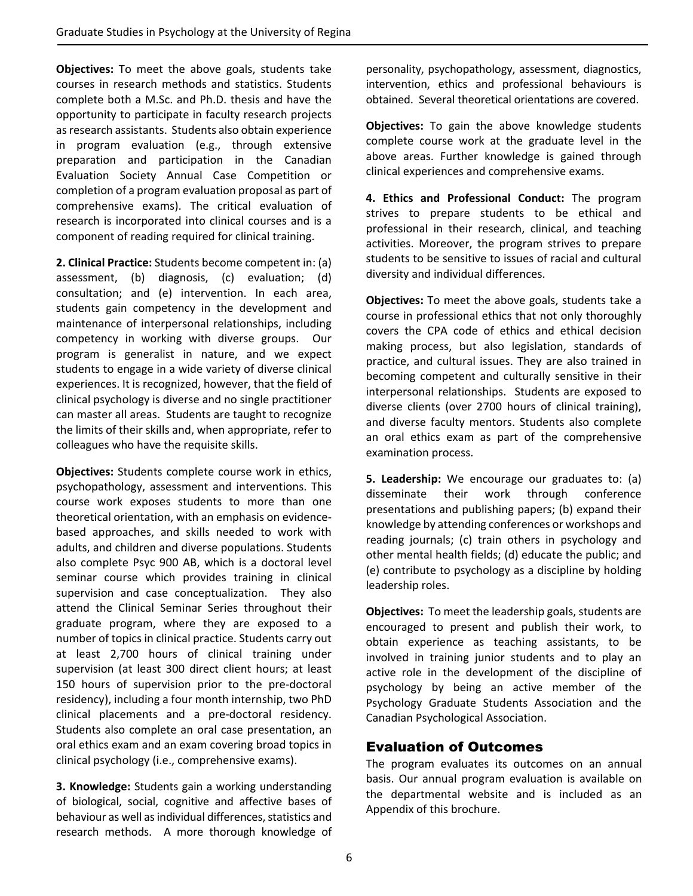**Objectives:** To meet the above goals, students take courses in research methods and statistics. Students complete both a M.Sc. and Ph.D. thesis and have the opportunity to participate in faculty research projects as research assistants. Students also obtain experience in program evaluation (e.g., through extensive preparation and participation in the Canadian Evaluation Society Annual Case Competition or completion of a program evaluation proposal as part of comprehensive exams). The critical evaluation of research is incorporated into clinical courses and is a component of reading required for clinical training.

**2. Clinical Practice:** Students become competent in: (a) assessment, (b) diagnosis, (c) evaluation; (d) consultation; and (e) intervention. In each area, students gain competency in the development and maintenance of interpersonal relationships, including competency in working with diverse groups. Our program is generalist in nature, and we expect students to engage in a wide variety of diverse clinical experiences. It is recognized, however, that the field of clinical psychology is diverse and no single practitioner can master all areas. Students are taught to recognize the limits of their skills and, when appropriate, refer to colleagues who have the requisite skills.

**Objectives:** Students complete course work in ethics, psychopathology, assessment and interventions. This course work exposes students to more than one theoretical orientation, with an emphasis on evidence‐ based approaches, and skills needed to work with adults, and children and diverse populations. Students also complete Psyc 900 AB, which is a doctoral level seminar course which provides training in clinical supervision and case conceptualization. They also attend the Clinical Seminar Series throughout their graduate program, where they are exposed to a number of topics in clinical practice. Students carry out at least 2,700 hours of clinical training under supervision (at least 300 direct client hours; at least 150 hours of supervision prior to the pre-doctoral residency), including a four month internship, two PhD clinical placements and a pre‐doctoral residency. Students also complete an oral case presentation, an oral ethics exam and an exam covering broad topics in clinical psychology (i.e., comprehensive exams).

**3. Knowledge:** Students gain a working understanding of biological, social, cognitive and affective bases of behaviour as well as individual differences, statistics and research methods. A more thorough knowledge of

personality, psychopathology, assessment, diagnostics, intervention, ethics and professional behaviours is obtained. Several theoretical orientations are covered.

**Objectives:** To gain the above knowledge students complete course work at the graduate level in the above areas. Further knowledge is gained through clinical experiences and comprehensive exams.

**4. Ethics and Professional Conduct:** The program strives to prepare students to be ethical and professional in their research, clinical, and teaching activities. Moreover, the program strives to prepare students to be sensitive to issues of racial and cultural diversity and individual differences.

**Objectives:** To meet the above goals, students take a course in professional ethics that not only thoroughly covers the CPA code of ethics and ethical decision making process, but also legislation, standards of practice, and cultural issues. They are also trained in becoming competent and culturally sensitive in their interpersonal relationships. Students are exposed to diverse clients (over 2700 hours of clinical training), and diverse faculty mentors. Students also complete an oral ethics exam as part of the comprehensive examination process.

**5. Leadership:** We encourage our graduates to: (a) disseminate their work through conference presentations and publishing papers; (b) expand their knowledge by attending conferences or workshops and reading journals; (c) train others in psychology and other mental health fields; (d) educate the public; and (e) contribute to psychology as a discipline by holding leadership roles.

**Objectives:** To meet the leadership goals, students are encouraged to present and publish their work, to obtain experience as teaching assistants, to be involved in training junior students and to play an active role in the development of the discipline of psychology by being an active member of the Psychology Graduate Students Association and the Canadian Psychological Association.

## Evaluation of Outcomes

The program evaluates its outcomes on an annual basis. Our annual program evaluation is available on the departmental website and is included as an Appendix of this brochure.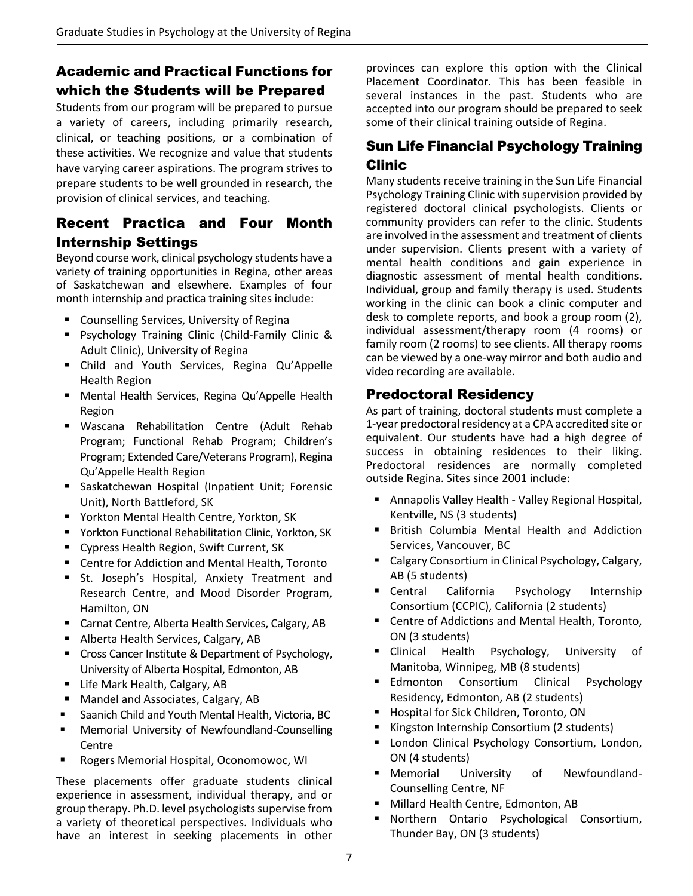# Academic and Practical Functions for which the Students will be Prepared

Students from our program will be prepared to pursue a variety of careers, including primarily research, clinical, or teaching positions, or a combination of these activities. We recognize and value that students have varying career aspirations. The program strives to prepare students to be well grounded in research, the provision of clinical services, and teaching.

# Recent Practica and Four Month Internship Settings

Beyond course work, clinical psychology students have a variety of training opportunities in Regina, other areas of Saskatchewan and elsewhere. Examples of four month internship and practica training sites include:

- **E** Counselling Services, University of Regina
- Psychology Training Clinic (Child-Family Clinic & Adult Clinic), University of Regina
- Child and Youth Services, Regina Qu'Appelle Health Region
- Mental Health Services, Regina Qu'Appelle Health Region
- Wascana Rehabilitation Centre (Adult Rehab Program; Functional Rehab Program; Children's Program; Extended Care/Veterans Program), Regina Qu'Appelle Health Region
- Saskatchewan Hospital (Inpatient Unit; Forensic Unit), North Battleford, SK
- **F** Yorkton Mental Health Centre, Yorkton, SK
- Yorkton Functional Rehabilitation Clinic, Yorkton, SK
- Cypress Health Region, Swift Current, SK
- Centre for Addiction and Mental Health, Toronto
- St. Joseph's Hospital, Anxiety Treatment and Research Centre, and Mood Disorder Program, Hamilton, ON
- Carnat Centre, Alberta Health Services, Calgary, AB
- Alberta Health Services, Calgary, AB
- **EXP** Cross Cancer Institute & Department of Psychology, University of Alberta Hospital, Edmonton, AB
- **E** Life Mark Health, Calgary, AB
- **Mandel and Associates, Calgary, AB**
- Saanich Child and Youth Mental Health, Victoria, BC
- Memorial University of Newfoundland-Counselling **Centre**
- Rogers Memorial Hospital, Oconomowoc, WI

These placements offer graduate students clinical experience in assessment, individual therapy, and or group therapy. Ph.D. level psychologists supervise from a variety of theoretical perspectives. Individuals who have an interest in seeking placements in other

provinces can explore this option with the Clinical Placement Coordinator. This has been feasible in several instances in the past. Students who are accepted into our program should be prepared to seek some of their clinical training outside of Regina.

# Sun Life Financial Psychology Training Clinic

Many students receive training in the Sun Life Financial Psychology Training Clinic with supervision provided by registered doctoral clinical psychologists. Clients or community providers can refer to the clinic. Students are involved in the assessment and treatment of clients under supervision. Clients present with a variety of mental health conditions and gain experience in diagnostic assessment of mental health conditions. Individual, group and family therapy is used. Students working in the clinic can book a clinic computer and desk to complete reports, and book a group room (2), individual assessment/therapy room (4 rooms) or family room (2 rooms) to see clients. All therapy rooms can be viewed by a one‐way mirror and both audio and video recording are available.

## Predoctoral Residency

As part of training, doctoral students must complete a 1‐year predoctoral residency at a CPA accredited site or equivalent. Our students have had a high degree of success in obtaining residences to their liking. Predoctoral residences are normally completed outside Regina. Sites since 2001 include:

- Annapolis Valley Health Valley Regional Hospital, Kentville, NS (3 students)
- **British Columbia Mental Health and Addiction** Services, Vancouver, BC
- Calgary Consortium in Clinical Psychology, Calgary, AB (5 students)
- **E** Central California Psychology Internship Consortium (CCPIC), California (2 students)
- Centre of Addictions and Mental Health, Toronto, ON (3 students)
- **Example 2** Clinical Health Psychology, University of Manitoba, Winnipeg, MB (8 students)
- **Edmonton Consortium Clinical Psychology** Residency, Edmonton, AB (2 students)
- **Hospital for Sick Children, Toronto, ON**
- Kingston Internship Consortium (2 students)
- **E** London Clinical Psychology Consortium, London, ON (4 students)
- Memorial University of Newfoundland-Counselling Centre, NF
- **Millard Health Centre, Edmonton, AB**
- Northern Ontario Psychological Consortium, Thunder Bay, ON (3 students)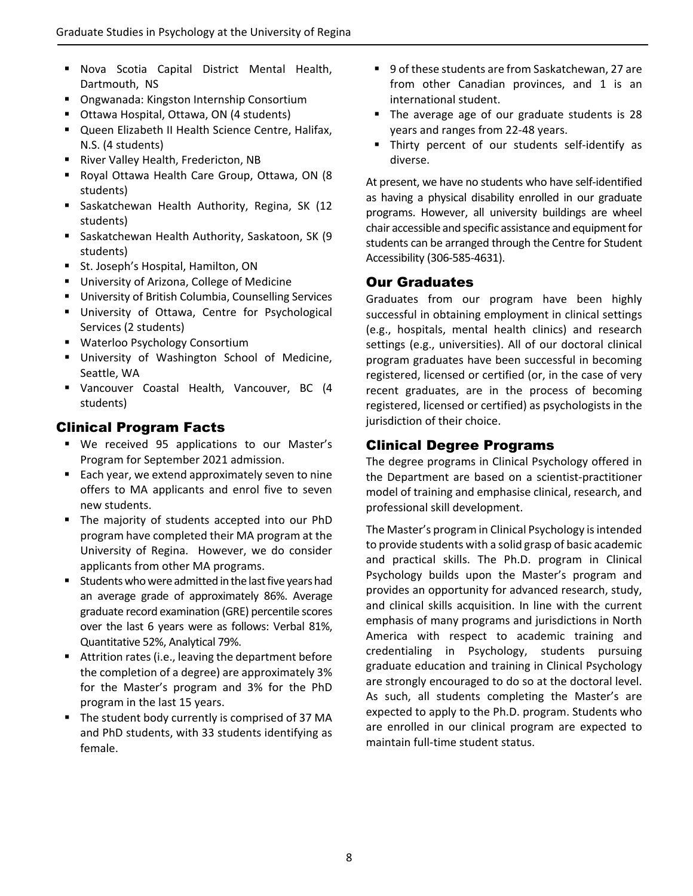- **Nova Scotia Capital District Mental Health,** Dartmouth, NS
- Ongwanada: Kingston Internship Consortium
- Ottawa Hospital, Ottawa, ON (4 students)
- **Queen Elizabeth II Health Science Centre, Halifax,** N.S. (4 students)
- **River Valley Health, Fredericton, NB**
- Royal Ottawa Health Care Group, Ottawa, ON (8 students)
- **Saskatchewan Health Authority, Regina, SK (12** students)
- Saskatchewan Health Authority, Saskatoon, SK (9 students)
- **F** St. Joseph's Hospital, Hamilton, ON
- **University of Arizona, College of Medicine**
- University of British Columbia, Counselling Services
- **University of Ottawa, Centre for Psychological** Services (2 students)
- **Waterloo Psychology Consortium**
- **University of Washington School of Medicine,** Seattle, WA
- Vancouver Coastal Health, Vancouver, BC (4 students)

## Clinical Program Facts

- We received 95 applications to our Master's Program for September 2021 admission.
- Each year, we extend approximately seven to nine offers to MA applicants and enrol five to seven new students.
- The majority of students accepted into our PhD program have completed their MA program at the University of Regina. However, we do consider applicants from other MA programs.
- **Students who were admitted in the last five years had** an average grade of approximately 86%. Average graduate record examination (GRE) percentile scores over the last 6 years were as follows: Verbal 81%, Quantitative 52%, Analytical 79%.
- Attrition rates (i.e., leaving the department before the completion of a degree) are approximately 3% for the Master's program and 3% for the PhD program in the last 15 years.
- The student body currently is comprised of 37 MA and PhD students, with 33 students identifying as female.
- 9 of these students are from Saskatchewan, 27 are from other Canadian provinces, and 1 is an international student.
- The average age of our graduate students is 28 years and ranges from 22‐48 years.
- Thirty percent of our students self-identify as diverse.

At present, we have no students who have self‐identified as having a physical disability enrolled in our graduate programs. However, all university buildings are wheel chair accessible and specific assistance and equipment for students can be arranged through the Centre for Student Accessibility (306‐585‐4631).

## Our Graduates

Graduates from our program have been highly successful in obtaining employment in clinical settings (e.g., hospitals, mental health clinics) and research settings (e.g., universities). All of our doctoral clinical program graduates have been successful in becoming registered, licensed or certified (or, in the case of very recent graduates, are in the process of becoming registered, licensed or certified) as psychologists in the jurisdiction of their choice.

## Clinical Degree Programs

The degree programs in Clinical Psychology offered in the Department are based on a scientist‐practitioner model of training and emphasise clinical, research, and professional skill development.

The Master's program in Clinical Psychology isintended to provide students with a solid grasp of basic academic and practical skills. The Ph.D. program in Clinical Psychology builds upon the Master's program and provides an opportunity for advanced research, study, and clinical skills acquisition. In line with the current emphasis of many programs and jurisdictions in North America with respect to academic training and credentialing in Psychology, students pursuing graduate education and training in Clinical Psychology are strongly encouraged to do so at the doctoral level. As such, all students completing the Master's are expected to apply to the Ph.D. program. Students who are enrolled in our clinical program are expected to maintain full‐time student status.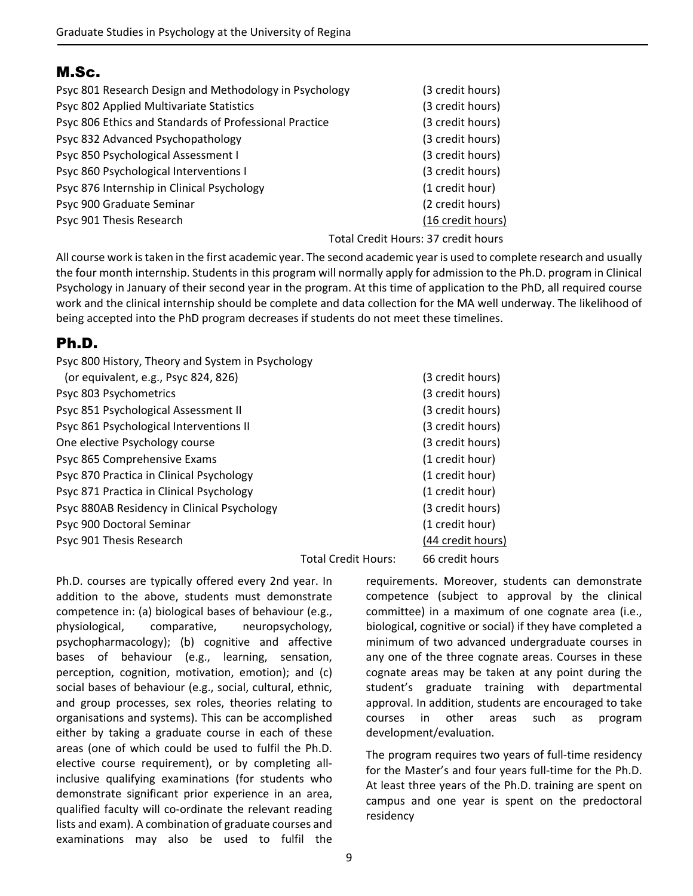# M.Sc.

| Psyc 801 Research Design and Methodology in Psychology | (3 credit hours)                    |
|--------------------------------------------------------|-------------------------------------|
| Psyc 802 Applied Multivariate Statistics               | (3 credit hours)                    |
| Psyc 806 Ethics and Standards of Professional Practice | (3 credit hours)                    |
| Psyc 832 Advanced Psychopathology                      | (3 credit hours)                    |
| Psyc 850 Psychological Assessment I                    | (3 credit hours)                    |
| Psyc 860 Psychological Interventions I                 | (3 credit hours)                    |
| Psyc 876 Internship in Clinical Psychology             | (1 credit hour)                     |
| Psyc 900 Graduate Seminar                              | (2 credit hours)                    |
| Psyc 901 Thesis Research                               | (16 credit hours)                   |
|                                                        | Total Credit Hours: 37 credit hours |

All course work istaken in the first academic year. The second academic year is used to complete research and usually the four month internship. Students in this program will normally apply for admission to the Ph.D. program in Clinical Psychology in January of their second year in the program. At this time of application to the PhD, all required course work and the clinical internship should be complete and data collection for the MA well underway. The likelihood of being accepted into the PhD program decreases if students do not meet these timelines.

# Ph.D.

| Psyc 800 History, Theory and System in Psychology |                                                   |                          |
|---------------------------------------------------|---------------------------------------------------|--------------------------|
| (or equivalent, e.g., Psyc 824, 826)              |                                                   | (3 credit hours)         |
| Psyc 803 Psychometrics                            |                                                   | (3 credit hours)         |
| Psyc 851 Psychological Assessment II              |                                                   | (3 credit hours)         |
| Psyc 861 Psychological Interventions II           |                                                   | (3 credit hours)         |
| One elective Psychology course                    |                                                   | (3 credit hours)         |
| Psyc 865 Comprehensive Exams                      |                                                   | (1 credit hour)          |
| Psyc 870 Practica in Clinical Psychology          |                                                   | (1 credit hour)          |
| Psyc 871 Practica in Clinical Psychology          |                                                   | (1 credit hour)          |
| Psyc 880AB Residency in Clinical Psychology       |                                                   | (3 credit hours)         |
| Psyc 900 Doctoral Seminar                         |                                                   | (1 credit hour)          |
| Psyc 901 Thesis Research                          |                                                   | (44 credit hours)        |
|                                                   | $T_{\alpha+\alpha}$ $C_{\alpha\alpha}$ dit Unusan | $CC$ and $\ddot{=}$ have |

Total Credit Hours: 66 credit hours

Ph.D. courses are typically offered every 2nd year. In addition to the above, students must demonstrate competence in: (a) biological bases of behaviour (e.g., physiological, comparative, neuropsychology, psychopharmacology); (b) cognitive and affective bases of behaviour (e.g., learning, sensation, perception, cognition, motivation, emotion); and (c) social bases of behaviour (e.g., social, cultural, ethnic, and group processes, sex roles, theories relating to organisations and systems). This can be accomplished either by taking a graduate course in each of these areas (one of which could be used to fulfil the Ph.D. elective course requirement), or by completing all‐ inclusive qualifying examinations (for students who demonstrate significant prior experience in an area, qualified faculty will co-ordinate the relevant reading lists and exam). A combination of graduate courses and examinations may also be used to fulfil the

requirements. Moreover, students can demonstrate competence (subject to approval by the clinical committee) in a maximum of one cognate area (i.e., biological, cognitive or social) if they have completed a minimum of two advanced undergraduate courses in any one of the three cognate areas. Courses in these cognate areas may be taken at any point during the student's graduate training with departmental approval. In addition, students are encouraged to take courses in other areas such as program development/evaluation.

The program requires two years of full-time residency for the Master's and four years full-time for the Ph.D. At least three years of the Ph.D. training are spent on campus and one year is spent on the predoctoral residency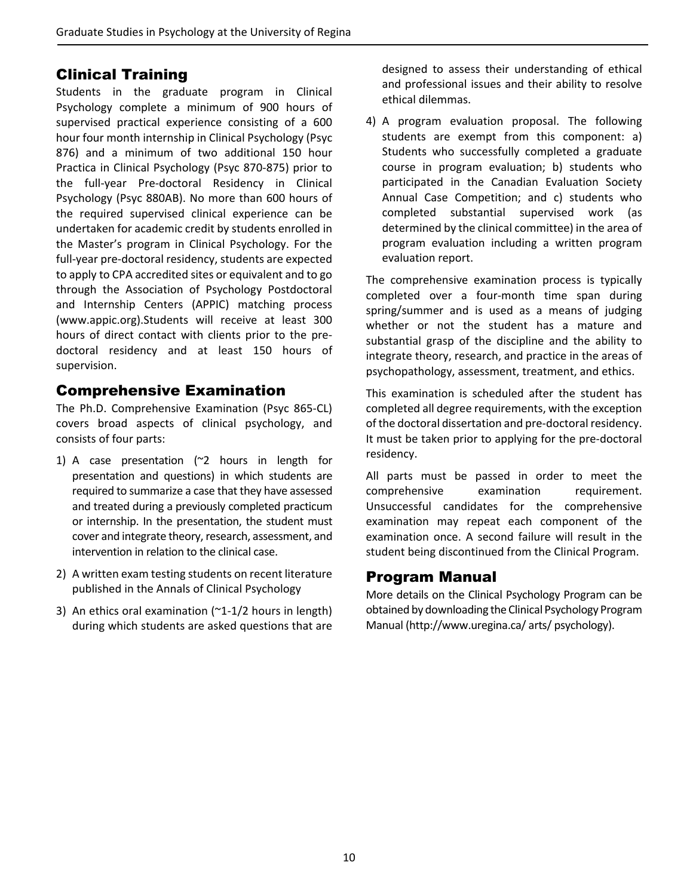# Clinical Training

Students in the graduate program in Clinical Psychology complete a minimum of 900 hours of supervised practical experience consisting of a 600 hour four month internship in Clinical Psychology (Psyc 876) and a minimum of two additional 150 hour Practica in Clinical Psychology (Psyc 870‐875) prior to the full‐year Pre‐doctoral Residency in Clinical Psychology (Psyc 880AB). No more than 600 hours of the required supervised clinical experience can be undertaken for academic credit by students enrolled in the Master's program in Clinical Psychology. For the full-year pre-doctoral residency, students are expected to apply to CPA accredited sites or equivalent and to go through the Association of Psychology Postdoctoral and Internship Centers (APPIC) matching process (www.appic.org).Students will receive at least 300 hours of direct contact with clients prior to the pre‐ doctoral residency and at least 150 hours of supervision.

# Comprehensive Examination

The Ph.D. Comprehensive Examination (Psyc 865‐CL) covers broad aspects of clinical psychology, and consists of four parts:

- 1) A case presentation (~2 hours in length for presentation and questions) in which students are required to summarize a case that they have assessed and treated during a previously completed practicum or internship. In the presentation, the student must cover and integrate theory, research, assessment, and intervention in relation to the clinical case.
- 2) A written exam testing students on recent literature published in the Annals of Clinical Psychology
- 3) An ethics oral examination  $(2-1/2)$  hours in length) during which students are asked questions that are

designed to assess their understanding of ethical and professional issues and their ability to resolve ethical dilemmas.

4) A program evaluation proposal. The following students are exempt from this component: a) Students who successfully completed a graduate course in program evaluation; b) students who participated in the Canadian Evaluation Society Annual Case Competition; and c) students who completed substantial supervised work (as determined by the clinical committee) in the area of program evaluation including a written program evaluation report.

The comprehensive examination process is typically completed over a four‐month time span during spring/summer and is used as a means of judging whether or not the student has a mature and substantial grasp of the discipline and the ability to integrate theory, research, and practice in the areas of psychopathology, assessment, treatment, and ethics.

This examination is scheduled after the student has completed all degree requirements, with the exception of the doctoral dissertation and pre-doctoral residency. It must be taken prior to applying for the pre‐doctoral residency.

All parts must be passed in order to meet the comprehensive examination requirement. Unsuccessful candidates for the comprehensive examination may repeat each component of the examination once. A second failure will result in the student being discontinued from the Clinical Program.

# Program Manual

More details on the Clinical Psychology Program can be obtained by downloading the Clinical Psychology Program Manual (http://www.uregina.ca/ arts/ psychology).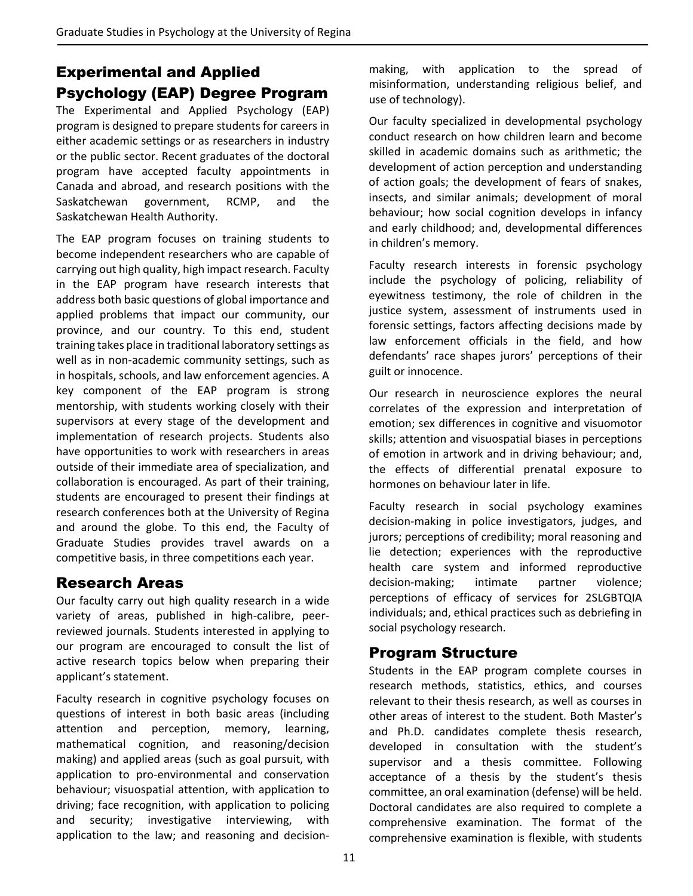# Experimental and Applied Psychology (EAP) Degree Program

The Experimental and Applied Psychology (EAP) program is designed to prepare students for careers in either academic settings or as researchers in industry or the public sector. Recent graduates of the doctoral program have accepted faculty appointments in Canada and abroad, and research positions with the Saskatchewan government, RCMP, and the Saskatchewan Health Authority.

The EAP program focuses on training students to become independent researchers who are capable of carrying out high quality, high impact research. Faculty in the EAP program have research interests that address both basic questions of global importance and applied problems that impact our community, our province, and our country. To this end, student training takes place in traditional laboratory settings as well as in non-academic community settings, such as in hospitals, schools, and law enforcement agencies. A key component of the EAP program is strong mentorship, with students working closely with their supervisors at every stage of the development and implementation of research projects. Students also have opportunities to work with researchers in areas outside of their immediate area of specialization, and collaboration is encouraged. As part of their training, students are encouraged to present their findings at research conferences both at the University of Regina and around the globe. To this end, the Faculty of Graduate Studies provides travel awards on a competitive basis, in three competitions each year.

# Research Areas

Our faculty carry out high quality research in a wide variety of areas, published in high‐calibre, peer‐ reviewed journals. Students interested in applying to our program are encouraged to consult the list of active research topics below when preparing their applicant's statement.

Faculty research in cognitive psychology focuses on questions of interest in both basic areas (including attention and perception, memory, learning, mathematical cognition, and reasoning/decision making) and applied areas (such as goal pursuit, with application to pro‐environmental and conservation behaviour; visuospatial attention, with application to driving; face recognition, with application to policing and security; investigative interviewing, with application to the law; and reasoning and decision‐

making, with application to the spread of misinformation, understanding religious belief, and use of technology).

Our faculty specialized in developmental psychology conduct research on how children learn and become skilled in academic domains such as arithmetic; the development of action perception and understanding of action goals; the development of fears of snakes, insects, and similar animals; development of moral behaviour; how social cognition develops in infancy and early childhood; and, developmental differences in children's memory.

Faculty research interests in forensic psychology include the psychology of policing, reliability of eyewitness testimony, the role of children in the justice system, assessment of instruments used in forensic settings, factors affecting decisions made by law enforcement officials in the field, and how defendants' race shapes jurors' perceptions of their guilt or innocence.

Our research in neuroscience explores the neural correlates of the expression and interpretation of emotion; sex differences in cognitive and visuomotor skills; attention and visuospatial biases in perceptions of emotion in artwork and in driving behaviour; and, the effects of differential prenatal exposure to hormones on behaviour later in life.

Faculty research in social psychology examines decision‐making in police investigators, judges, and jurors; perceptions of credibility; moral reasoning and lie detection; experiences with the reproductive health care system and informed reproductive decision-making; intimate partner violence; perceptions of efficacy of services for 2SLGBTQIA individuals; and, ethical practices such as debriefing in social psychology research.

# Program Structure

Students in the EAP program complete courses in research methods, statistics, ethics, and courses relevant to their thesis research, as well as courses in other areas of interest to the student. Both Master's and Ph.D. candidates complete thesis research, developed in consultation with the student's supervisor and a thesis committee. Following acceptance of a thesis by the student's thesis committee, an oral examination (defense) will be held. Doctoral candidates are also required to complete a comprehensive examination. The format of the comprehensive examination is flexible, with students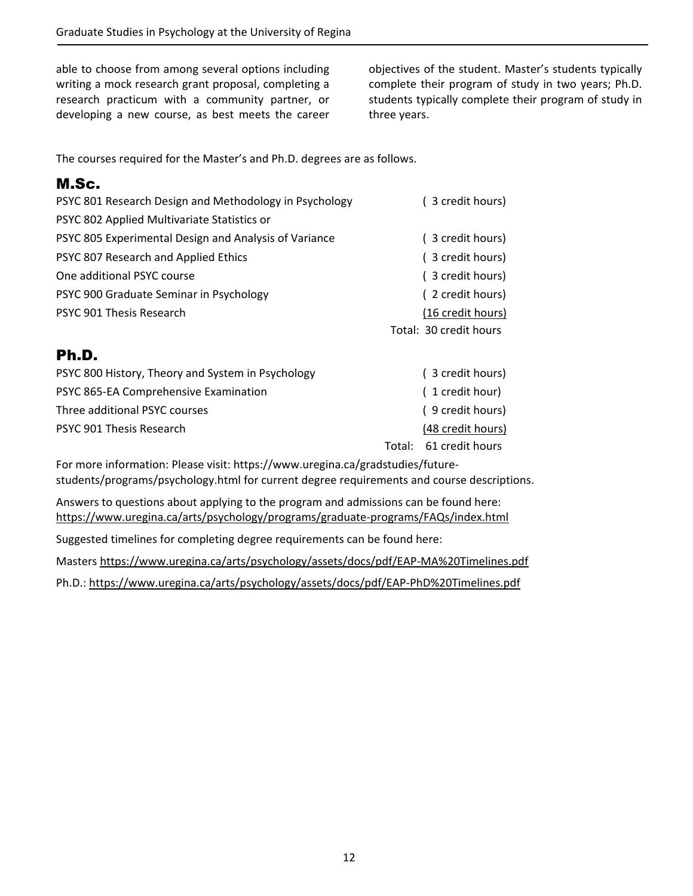able to choose from among several options including writing a mock research grant proposal, completing a research practicum with a community partner, or developing a new course, as best meets the career objectives of the student. Master's students typically complete their program of study in two years; Ph.D. students typically complete their program of study in three years.

The courses required for the Master's and Ph.D. degrees are as follows.

# M.Sc.

| PSYC 801 Research Design and Methodology in Psychology | (3 credit hours)       |
|--------------------------------------------------------|------------------------|
| PSYC 802 Applied Multivariate Statistics or            |                        |
| PSYC 805 Experimental Design and Analysis of Variance  | (3 credit hours)       |
| PSYC 807 Research and Applied Ethics                   | (3 credit hours)       |
| One additional PSYC course                             | (3 credit hours)       |
| PSYC 900 Graduate Seminar in Psychology                | (2 credit hours)       |
| PSYC 901 Thesis Research                               | (16 credit hours)      |
|                                                        | Total: 30 credit hours |
| Ph.D.                                                  |                        |
| PSYC 800 History, Theory and System in Psychology      | (3 credit hours)       |
| PSYC 865-EA Comprehensive Examination                  | (1 credit hour)        |
| Three additional PSYC courses                          | (9 credit hours)       |
| PSYC 901 Thesis Research                               | (48 credit hours)      |

 Total: 61 credit hours For more information: Please visit: https://www.uregina.ca/gradstudies/future‐

students/programs/psychology.html for current degree requirements and course descriptions.

Answers to questions about applying to the program and admissions can be found here: https://www.uregina.ca/arts/psychology/programs/graduate‐programs/FAQs/index.html

Suggested timelines for completing degree requirements can be found here:

Masters https://www.uregina.ca/arts/psychology/assets/docs/pdf/EAP‐MA%20Timelines.pdf

Ph.D.: https://www.uregina.ca/arts/psychology/assets/docs/pdf/EAP‐PhD%20Timelines.pdf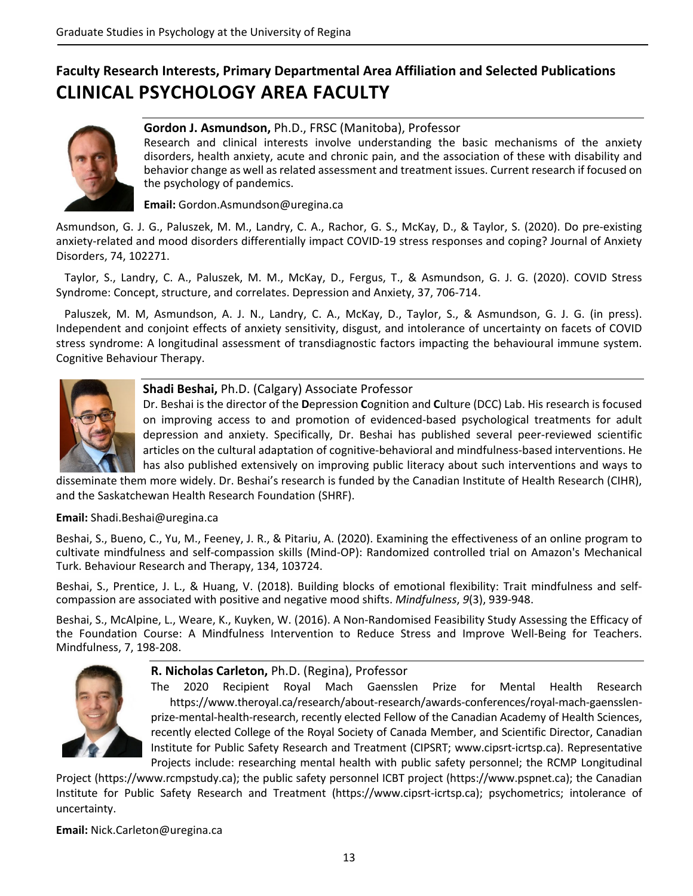# **Faculty Research Interests, Primary Departmental Area Affiliation and Selected Publications CLINICAL PSYCHOLOGY AREA FACULTY**



## **Gordon J. Asmundson,** Ph.D., FRSC (Manitoba), Professor

Research and clinical interests involve understanding the basic mechanisms of the anxiety disorders, health anxiety, acute and chronic pain, and the association of these with disability and behavior change as well as related assessment and treatment issues. Current research if focused on the psychology of pandemics.

**Email:** Gordon.Asmundson@uregina.ca

Asmundson, G. J. G., Paluszek, M. M., Landry, C. A., Rachor, G. S., McKay, D., & Taylor, S. (2020). Do pre‐existing anxiety-related and mood disorders differentially impact COVID-19 stress responses and coping? Journal of Anxiety Disorders, 74, 102271.

 Taylor, S., Landry, C. A., Paluszek, M. M., McKay, D., Fergus, T., & Asmundson, G. J. G. (2020). COVID Stress Syndrome: Concept, structure, and correlates. Depression and Anxiety, 37, 706‐714.

 Paluszek, M. M, Asmundson, A. J. N., Landry, C. A., McKay, D., Taylor, S., & Asmundson, G. J. G. (in press). Independent and conjoint effects of anxiety sensitivity, disgust, and intolerance of uncertainty on facets of COVID stress syndrome: A longitudinal assessment of transdiagnostic factors impacting the behavioural immune system. Cognitive Behaviour Therapy.



### **Shadi Beshai,** Ph.D. (Calgary) Associate Professor

Dr. Beshai is the director of the **D**epression **C**ognition and **C**ulture (DCC) Lab. His research is focused on improving access to and promotion of evidenced‐based psychological treatments for adult depression and anxiety. Specifically, Dr. Beshai has published several peer-reviewed scientific articles on the cultural adaptation of cognitive‐behavioral and mindfulness‐based interventions. He has also published extensively on improving public literacy about such interventions and ways to

disseminate them more widely. Dr. Beshai's research is funded by the Canadian Institute of Health Research (CIHR), and the Saskatchewan Health Research Foundation (SHRF).

### **Email:** Shadi.Beshai@uregina.ca

Beshai, S., Bueno, C., Yu, M., Feeney, J. R., & Pitariu, A. (2020). Examining the effectiveness of an online program to cultivate mindfulness and self‐compassion skills (Mind‐OP): Randomized controlled trial on Amazon's Mechanical Turk. Behaviour Research and Therapy, 134, 103724.

Beshai, S., Prentice, J. L., & Huang, V. (2018). Building blocks of emotional flexibility: Trait mindfulness and selfcompassion are associated with positive and negative mood shifts. *Mindfulness*, *9*(3), 939‐948.

Beshai, S., McAlpine, L., Weare, K., Kuyken, W. (2016). A Non‐Randomised Feasibility Study Assessing the Efficacy of the Foundation Course: A Mindfulness Intervention to Reduce Stress and Improve Well‐Being for Teachers. Mindfulness, 7, 198‐208.



### **R. Nicholas Carleton,** Ph.D. (Regina), Professor

The 2020 Recipient Royal Mach Gaensslen Prize for Mental Health Research https://www.theroyal.ca/research/about‐research/awards‐conferences/royal‐mach‐gaensslen‐ prize-mental-health-research, recently elected Fellow of the Canadian Academy of Health Sciences, recently elected College of the Royal Society of Canada Member, and Scientific Director, Canadian Institute for Public Safety Research and Treatment (CIPSRT; www.cipsrt‐icrtsp.ca). Representative Projects include: researching mental health with public safety personnel; the RCMP Longitudinal

Project (https://www.rcmpstudy.ca); the public safety personnel ICBT project (https://www.pspnet.ca); the Canadian Institute for Public Safety Research and Treatment (https://www.cipsrt‐icrtsp.ca); psychometrics; intolerance of uncertainty.

**Email:** Nick.Carleton@uregina.ca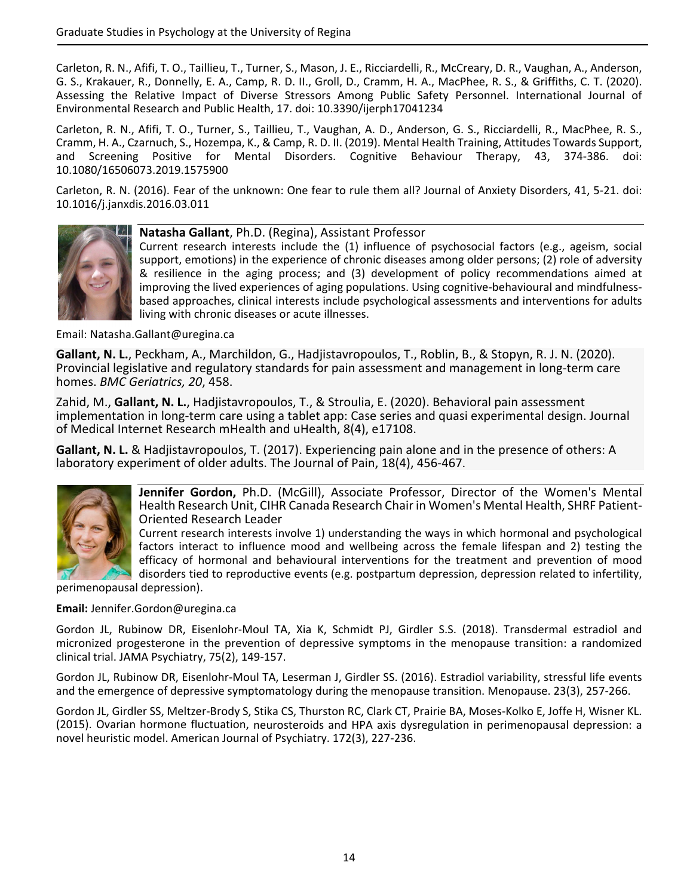Carleton, R. N., Afifi, T. O., Taillieu, T., Turner, S., Mason, J. E., Ricciardelli, R., McCreary, D. R., Vaughan, A., Anderson, G. S., Krakauer, R., Donnelly, E. A., Camp, R. D. II., Groll, D., Cramm, H. A., MacPhee, R. S., & Griffiths, C. T. (2020). Assessing the Relative Impact of Diverse Stressors Among Public Safety Personnel. International Journal of Environmental Research and Public Health, 17. doi: 10.3390/ijerph17041234

Carleton, R. N., Afifi, T. O., Turner, S., Taillieu, T., Vaughan, A. D., Anderson, G. S., Ricciardelli, R., MacPhee, R. S., Cramm, H. A., Czarnuch, S., Hozempa, K., & Camp, R. D. II. (2019). Mental Health Training, Attitudes Towards Support, and Screening Positive for Mental Disorders. Cognitive Behaviour Therapy, 43, 374‐386. doi: 10.1080/16506073.2019.1575900

Carleton, R. N. (2016). Fear of the unknown: One fear to rule them all? Journal of Anxiety Disorders, 41, 5‐21. doi: 10.1016/j.janxdis.2016.03.011



**Natasha Gallant**, Ph.D. (Regina), Assistant Professor

Current research interests include the (1) influence of psychosocial factors (e.g., ageism, social support, emotions) in the experience of chronic diseases among older persons; (2) role of adversity & resilience in the aging process; and (3) development of policy recommendations aimed at improving the lived experiences of aging populations. Using cognitive-behavioural and mindfulnessbased approaches, clinical interests include psychological assessments and interventions for adults living with chronic diseases or acute illnesses.

Email: Natasha.Gallant@uregina.ca

**Gallant, N. L.**, Peckham, A., Marchildon, G., Hadjistavropoulos, T., Roblin, B., & Stopyn, R. J. N. (2020). Provincial legislative and regulatory standards for pain assessment and management in long‐term care homes. *BMC Geriatrics, 20*, 458.

Zahid, M., **Gallant, N. L.**, Hadjistavropoulos, T., & Stroulia, E. (2020). Behavioral pain assessment implementation in long-term care using a tablet app: Case series and quasi experimental design. Journal of Medical Internet Research mHealth and uHealth, 8(4), e17108.

**Gallant, N. L.** & Hadjistavropoulos, T. (2017). Experiencing pain alone and in the presence of others: A laboratory experiment of older adults. The Journal of Pain, 18(4), 456‐467.



**Jennifer Gordon,** Ph.D. (McGill), Associate Professor, Director of the Women's Mental Health Research Unit, CIHR Canada Research Chair in Women's Mental Health, SHRF Patient‐ Oriented Research Leader

Current research interests involve 1) understanding the ways in which hormonal and psychological factors interact to influence mood and wellbeing across the female lifespan and 2) testing the efficacy of hormonal and behavioural interventions for the treatment and prevention of mood disorders tied to reproductive events (e.g. postpartum depression, depression related to infertility,

perimenopausal depression).

**Email:** Jennifer.Gordon@uregina.ca

Gordon JL, Rubinow DR, Eisenlohr‐Moul TA, Xia K, Schmidt PJ, Girdler S.S. (2018). Transdermal estradiol and micronized progesterone in the prevention of depressive symptoms in the menopause transition: a randomized clinical trial. JAMA Psychiatry, 75(2), 149‐157.

Gordon JL, Rubinow DR, Eisenlohr‐Moul TA, Leserman J, Girdler SS. (2016). Estradiol variability, stressful life events and the emergence of depressive symptomatology during the menopause transition. Menopause. 23(3), 257‐266.

Gordon JL, Girdler SS, Meltzer‐Brody S, Stika CS, Thurston RC, Clark CT, Prairie BA, Moses‐Kolko E, Joffe H, Wisner KL. (2015). Ovarian hormone fluctuation, neurosteroids and HPA axis dysregulation in perimenopausal depression: a novel heuristic model. American Journal of Psychiatry. 172(3), 227‐236.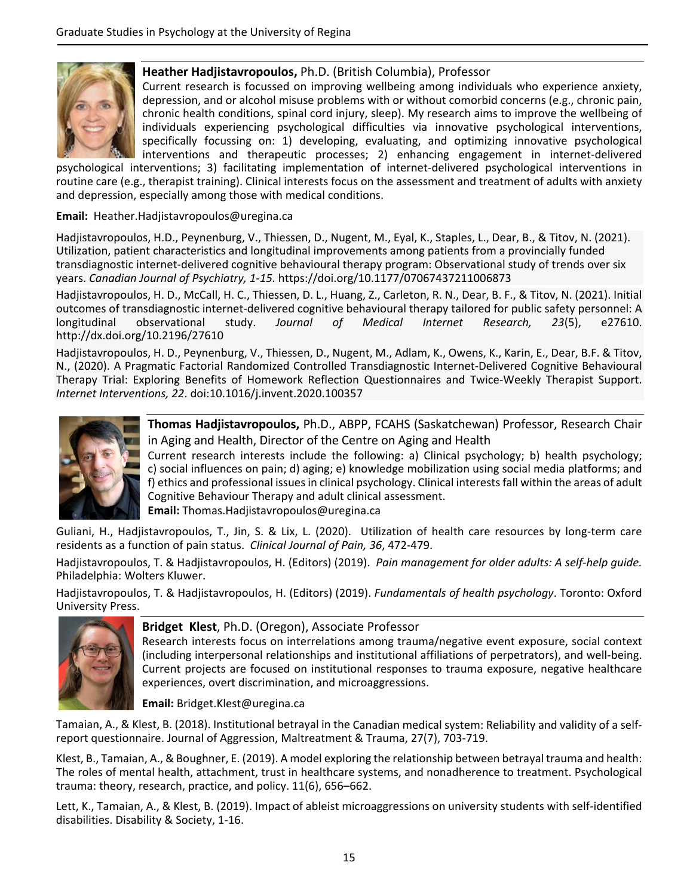

### **Heather Hadjistavropoulos,** Ph.D. (British Columbia), Professor

Current research is focussed on improving wellbeing among individuals who experience anxiety, depression, and or alcohol misuse problems with or without comorbid concerns (e.g., chronic pain, chronic health conditions, spinal cord injury, sleep). My research aims to improve the wellbeing of individuals experiencing psychological difficulties via innovative psychological interventions, specifically focussing on: 1) developing, evaluating, and optimizing innovative psychological interventions and therapeutic processes; 2) enhancing engagement in internet‐delivered

psychological interventions; 3) facilitating implementation of internet‐delivered psychological interventions in routine care (e.g., therapist training). Clinical interests focus on the assessment and treatment of adults with anxiety and depression, especially among those with medical conditions.

#### **Email:** Heather.Hadjistavropoulos@uregina.ca

Hadjistavropoulos, H.D., Peynenburg, V., Thiessen, D., Nugent, M., Eyal, K., Staples, L., Dear, B., & Titov, N. (2021). Utilization, patient characteristics and longitudinal improvements among patients from a provincially funded transdiagnostic internet‐delivered cognitive behavioural therapy program: Observational study of trends over six years. *Canadian Journal of Psychiatry, 1‐15.* https://doi.org/10.1177/07067437211006873

Hadjistavropoulos, H. D., McCall, H. C., Thiessen, D. L., Huang, Z., Carleton, R. N., Dear, B. F., & Titov, N. (2021). Initial outcomes of transdiagnostic internet‐delivered cognitive behavioural therapy tailored for public safety personnel: A longitudinal observational study. *Journal of Medical Internet Research, 23*(5), e27610. http://dx.doi.org/10.2196/27610

Hadjistavropoulos, H. D., Peynenburg, V., Thiessen, D., Nugent, M., Adlam, K., Owens, K., Karin, E., Dear, B.F. & Titov, N., (2020). A Pragmatic Factorial Randomized Controlled Transdiagnostic Internet‐Delivered Cognitive Behavioural Therapy Trial: Exploring Benefits of Homework Reflection Questionnaires and Twice‐Weekly Therapist Support. *Internet Interventions, 22*. doi:10.1016/j.invent.2020.100357



**Thomas Hadjistavropoulos,** Ph.D., ABPP, FCAHS (Saskatchewan) Professor, Research Chair in Aging and Health, Director of the Centre on Aging and Health

Current research interests include the following: a) Clinical psychology; b) health psychology; c) social influences on pain; d) aging; e) knowledge mobilization using social media platforms; and f) ethics and professional issuesin clinical psychology. Clinical interestsfall within the areas of adult Cognitive Behaviour Therapy and adult clinical assessment.

**Email:** Thomas.Hadjistavropoulos@uregina.ca

Guliani, H., Hadjistavropoulos, T., Jin, S. & Lix, L. (2020). Utilization of health care resources by long‐term care residents as a function of pain status. *Clinical Journal of Pain, 36*, 472‐479.

Hadjistavropoulos, T. & Hadjistavropoulos, H. (Editors) (2019). *Pain management for older adults: A self‐help guide.* Philadelphia: Wolters Kluwer.

Hadjistavropoulos, T. & Hadjistavropoulos, H. (Editors) (2019). *Fundamentals of health psychology*. Toronto: Oxford University Press.



### **Bridget Klest**, Ph.D. (Oregon), Associate Professor

Research interests focus on interrelations among trauma/negative event exposure, social context (including interpersonal relationships and institutional affiliations of perpetrators), and well‐being. Current projects are focused on institutional responses to trauma exposure, negative healthcare experiences, overt discrimination, and microaggressions.

**Email:** Bridget.Klest@uregina.ca

Tamaian, A., & Klest, B. (2018). Institutional betrayal in the Canadian medical system: Reliability and validity of a self‐ report questionnaire. Journal of Aggression, Maltreatment & Trauma, 27(7), 703‐719.

Klest, B., Tamaian, A., & Boughner, E. (2019). A model exploring the relationship between betrayal trauma and health: The roles of mental health, attachment, trust in healthcare systems, and nonadherence to treatment. Psychological trauma: theory, research, practice, and policy. 11(6), 656–662.

Lett, K., Tamaian, A., & Klest, B. (2019). Impact of ableist microaggressions on university students with self‐identified disabilities. Disability & Society, 1‐16.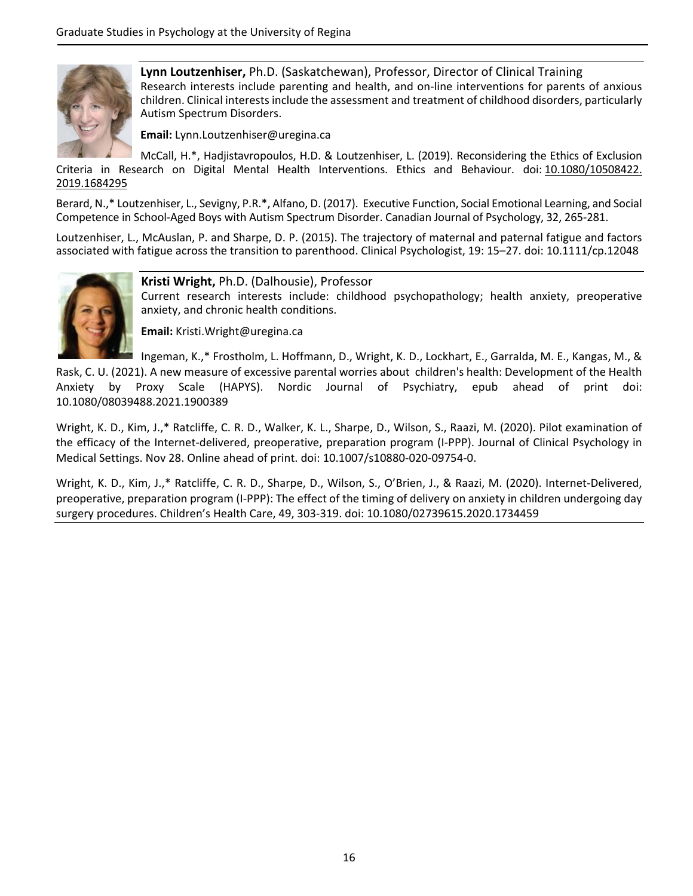

**Lynn Loutzenhiser,** Ph.D. (Saskatchewan), Professor, Director of Clinical Training Research interests include parenting and health, and on‐line interventions for parents of anxious children. Clinical interestsinclude the assessment and treatment of childhood disorders, particularly Autism Spectrum Disorders.

**Email:** Lynn.Loutzenhiser@uregina.ca

McCall, H.\*, Hadjistavropoulos, H.D. & Loutzenhiser, L. (2019). Reconsidering the Ethics of Exclusion Criteria in Research on Digital Mental Health Interventions. Ethics and Behaviour. doi: 10.1080/10508422. 2019.1684295

Berard, N.,\* Loutzenhiser, L., Sevigny, P.R.\*, Alfano, D. (2017). Executive Function, Social Emotional Learning, and Social Competence in School‐Aged Boys with Autism Spectrum Disorder. Canadian Journal of Psychology, 32, 265‐281.

Loutzenhiser, L., McAuslan, P. and Sharpe, D. P. (2015). The trajectory of maternal and paternal fatigue and factors associated with fatigue across the transition to parenthood. Clinical Psychologist, 19: 15–27. doi: 10.1111/cp.12048



**Kristi Wright,** Ph.D. (Dalhousie), Professor

Current research interests include: childhood psychopathology; health anxiety, preoperative anxiety, and chronic health conditions.

**Email:** Kristi.Wright@uregina.ca

Ingeman, K.,\* Frostholm, L. Hoffmann, D., Wright, K. D., Lockhart, E., Garralda, M. E., Kangas, M., &

Rask, C. U. (2021). A new measure of excessive parental worries about children's health: Development of the Health Anxiety by Proxy Scale (HAPYS). Nordic Journal of Psychiatry, epub ahead of print doi: 10.1080/08039488.2021.1900389

Wright, K. D., Kim, J.,\* Ratcliffe, C. R. D., Walker, K. L., Sharpe, D., Wilson, S., Raazi, M. (2020). Pilot examination of the efficacy of the Internet-delivered, preoperative, preparation program (I-PPP). Journal of Clinical Psychology in Medical Settings. Nov 28. Online ahead of print. doi: 10.1007/s10880‐020‐09754‐0.

Wright, K. D., Kim, J.,\* Ratcliffe, C. R. D., Sharpe, D., Wilson, S., O'Brien, J., & Raazi, M. (2020). Internet‐Delivered, preoperative, preparation program (I‐PPP): The effect of the timing of delivery on anxiety in children undergoing day surgery procedures. Children's Health Care, 49, 303‐319. doi: 10.1080/02739615.2020.1734459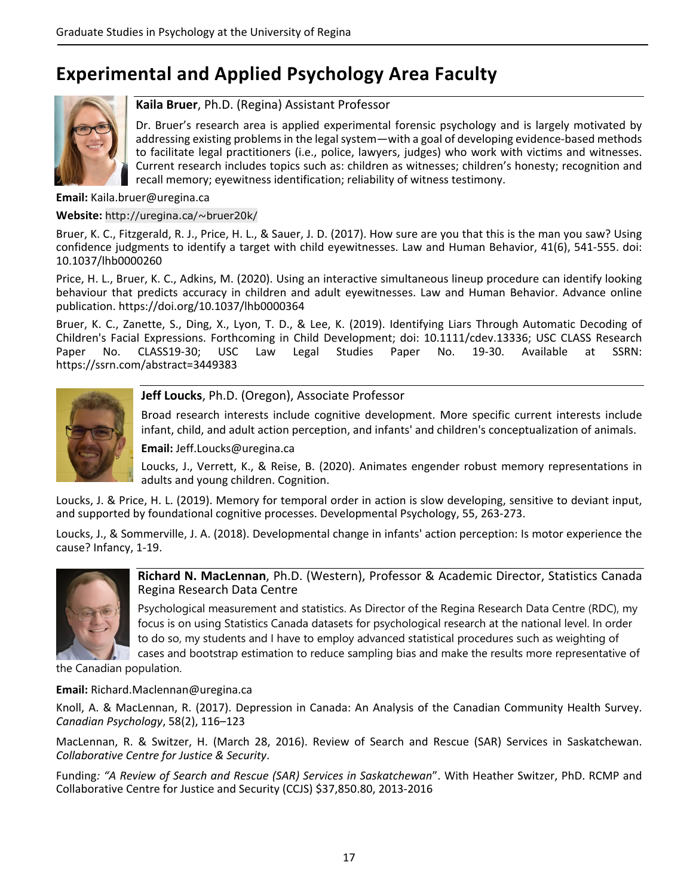# **Experimental and Applied Psychology Area Faculty**



### **Kaila Bruer**, Ph.D. (Regina) Assistant Professor

Dr. Bruer's research area is applied experimental forensic psychology and is largely motivated by addressing existing problems in the legal system—with a goal of developing evidence-based methods to facilitate legal practitioners (i.e., police, lawyers, judges) who work with victims and witnesses. Current research includes topics such as: children as witnesses; children's honesty; recognition and recall memory; eyewitness identification; reliability of witness testimony.

### **Email:** Kaila.bruer@uregina.ca

#### **Website:** http://uregina.ca/~bruer20k/

Bruer, K. C., Fitzgerald, R. J., Price, H. L., & Sauer, J. D. (2017). How sure are you that this is the man you saw? Using confidence judgments to identify a target with child eyewitnesses. Law and Human Behavior, 41(6), 541‐555. doi: 10.1037/lhb0000260

Price, H. L., Bruer, K. C., Adkins, M. (2020). Using an interactive simultaneous lineup procedure can identify looking behaviour that predicts accuracy in children and adult eyewitnesses. Law and Human Behavior. Advance online publication. https://doi.org/10.1037/lhb0000364

Bruer, K. C., Zanette, S., Ding, X., Lyon, T. D., & Lee, K. (2019). Identifying Liars Through Automatic Decoding of Children's Facial Expressions. Forthcoming in Child Development; doi: 10.1111/cdev.13336; USC CLASS Research Paper No. CLASS19-30; USC Law Legal Studies Paper No. 19-30. Available at SSRN: https://ssrn.com/abstract=3449383



### **Jeff Loucks**, Ph.D. (Oregon), Associate Professor

Broad research interests include cognitive development. More specific current interests include infant, child, and adult action perception, and infants' and children's conceptualization of animals.

**Email:** Jeff.Loucks@uregina.ca

Loucks, J., Verrett, K., & Reise, B. (2020). Animates engender robust memory representations in adults and young children. Cognition.

Loucks, J. & Price, H. L. (2019). Memory for temporal order in action is slow developing, sensitive to deviant input, and supported by foundational cognitive processes. Developmental Psychology, 55, 263‐273.

Loucks, J., & Sommerville, J. A. (2018). Developmental change in infants' action perception: Is motor experience the cause? Infancy, 1‐19.



**Richard N. MacLennan**, Ph.D. (Western), Professor & Academic Director, Statistics Canada Regina Research Data Centre

Psychological measurement and statistics. As Director of the Regina Research Data Centre (RDC), my focus is on using Statistics Canada datasets for psychological research at the national level. In order to do so, my students and I have to employ advanced statistical procedures such as weighting of cases and bootstrap estimation to reduce sampling bias and make the results more representative of

the Canadian population.

**Email:** Richard.Maclennan@uregina.ca

Knoll, A. & MacLennan, R. (2017). Depression in Canada: An Analysis of the Canadian Community Health Survey. *Canadian Psychology*, 58(2), 116–123

MacLennan, R. & Switzer, H. (March 28, 2016). Review of Search and Rescue (SAR) Services in Saskatchewan. *Collaborative Centre for Justice & Security*.

Funding*: "A Review of Search and Rescue (SAR) Services in Saskatchewan*". With Heather Switzer, PhD. RCMP and Collaborative Centre for Justice and Security (CCJS) \$37,850.80, 2013‐2016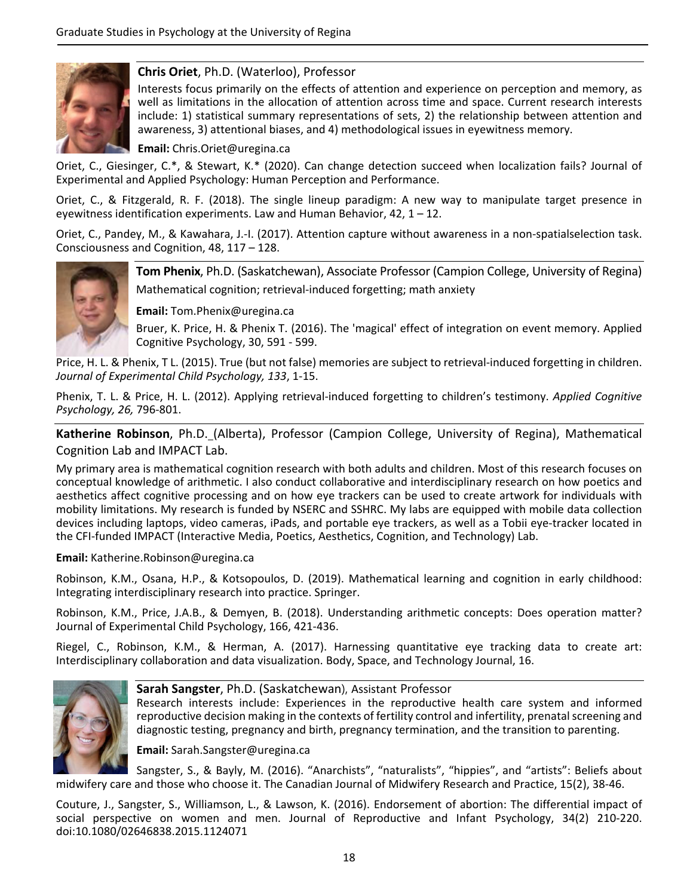

### **Chris Oriet**, Ph.D. (Waterloo), Professor

Interests focus primarily on the effects of attention and experience on perception and memory, as well as limitations in the allocation of attention across time and space. Current research interests include: 1) statistical summary representations of sets, 2) the relationship between attention and awareness, 3) attentional biases, and 4) methodological issues in eyewitness memory.

**Email:** Chris.Oriet@uregina.ca

Oriet, C., Giesinger, C.\*, & Stewart, K.\* (2020). Can change detection succeed when localization fails? Journal of Experimental and Applied Psychology: Human Perception and Performance.

Oriet, C., & Fitzgerald, R. F. (2018). The single lineup paradigm: A new way to manipulate target presence in eyewitness identification experiments. Law and Human Behavior, 42, 1 – 12.

Oriet, C., Pandey, M., & Kawahara, J.‐I. (2017). Attention capture without awareness in a non‐spatialselection task. Consciousness and Cognition, 48, 117 – 128.



**Tom Phenix**, Ph.D. (Saskatchewan), Associate Professor (Campion College, University of Regina) Mathematical cognition; retrieval‐induced forgetting; math anxiety

**Email:** Tom.Phenix@uregina.ca

Bruer, K. Price, H. & Phenix T. (2016). The 'magical' effect of integration on event memory. Applied Cognitive Psychology, 30, 591 ‐ 599.

Price, H. L. & Phenix, T L. (2015). True (but not false) memories are subject to retrieval-induced forgetting in children. *Journal of Experimental Child Psychology, 133*, 1‐15.

Phenix, T. L. & Price, H. L. (2012). Applying retrieval‐induced forgetting to children's testimony. *Applied Cognitive Psychology, 26,* 796‐801.

**Katherine Robinson**, Ph.D. (Alberta), Professor (Campion College, University of Regina), Mathematical Cognition Lab and IMPACT Lab.

My primary area is mathematical cognition research with both adults and children. Most of this research focuses on conceptual knowledge of arithmetic. I also conduct collaborative and interdisciplinary research on how poetics and aesthetics affect cognitive processing and on how eye trackers can be used to create artwork for individuals with mobility limitations. My research is funded by NSERC and SSHRC. My labs are equipped with mobile data collection devices including laptops, video cameras, iPads, and portable eye trackers, as well as a Tobii eye‐tracker located in the CFI‐funded IMPACT (Interactive Media, Poetics, Aesthetics, Cognition, and Technology) Lab.

#### **Email:** Katherine.Robinson@uregina.ca

Robinson, K.M., Osana, H.P., & Kotsopoulos, D. (2019). Mathematical learning and cognition in early childhood: Integrating interdisciplinary research into practice. Springer.

Robinson, K.M., Price, J.A.B., & Demyen, B. (2018). Understanding arithmetic concepts: Does operation matter? Journal of Experimental Child Psychology, 166, 421‐436.

Riegel, C., Robinson, K.M., & Herman, A. (2017). Harnessing quantitative eye tracking data to create art: Interdisciplinary collaboration and data visualization. Body, Space, and Technology Journal, 16.



### **Sarah Sangster**, Ph.D. (Saskatchewan), Assistant Professor

Research interests include: Experiences in the reproductive health care system and informed reproductive decision making in the contexts of fertility control and infertility, prenatal screening and diagnostic testing, pregnancy and birth, pregnancy termination, and the transition to parenting.

**Email:** Sarah.Sangster@uregina.ca

Sangster, S., & Bayly, M. (2016). "Anarchists", "naturalists", "hippies", and "artists": Beliefs about midwifery care and those who choose it. The Canadian Journal of Midwifery Research and Practice, 15(2), 38‐46.

Couture, J., Sangster, S., Williamson, L., & Lawson, K. (2016). Endorsement of abortion: The differential impact of social perspective on women and men. Journal of Reproductive and Infant Psychology, 34(2) 210‐220. doi:10.1080/02646838.2015.1124071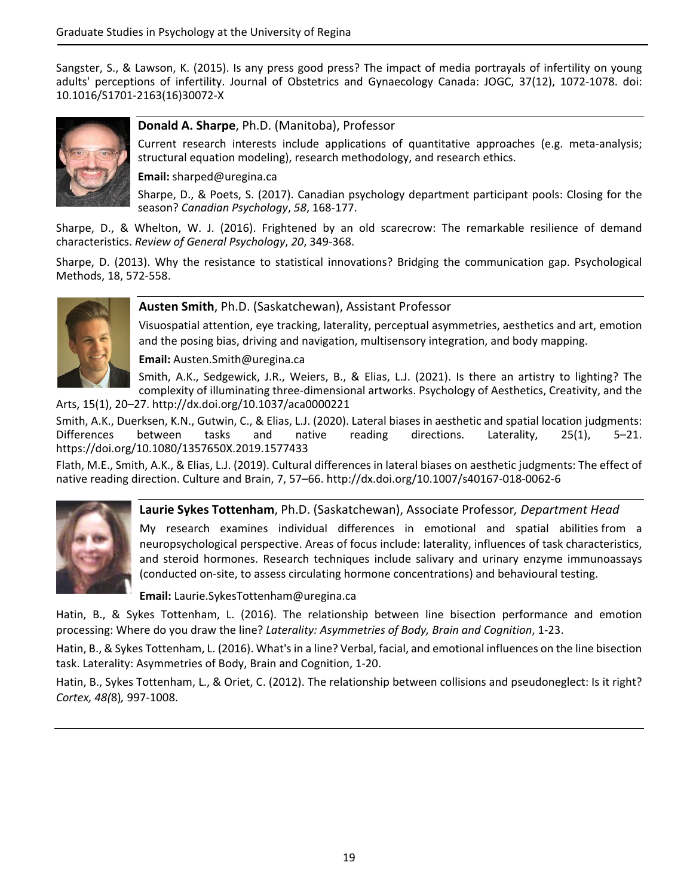Sangster, S., & Lawson, K. (2015). Is any press good press? The impact of media portrayals of infertility on young adults' perceptions of infertility. Journal of Obstetrics and Gynaecology Canada: JOGC, 37(12), 1072‐1078. doi: 10.1016/S1701‐2163(16)30072‐X



### **Donald A. Sharpe**, Ph.D. (Manitoba), Professor

Current research interests include applications of quantitative approaches (e.g. meta-analysis; structural equation modeling), research methodology, and research ethics.

### **Email:** sharped@uregina.ca

Sharpe, D., & Poets, S. (2017). Canadian psychology department participant pools: Closing for the season? *Canadian Psychology*, *58*, 168‐177.

Sharpe, D., & Whelton, W. J. (2016). Frightened by an old scarecrow: The remarkable resilience of demand characteristics. *Review of General Psychology*, *20*, 349‐368.

Sharpe, D. (2013). Why the resistance to statistical innovations? Bridging the communication gap. Psychological Methods, 18, 572‐558.



### **Austen Smith**, Ph.D. (Saskatchewan), Assistant Professor

Visuospatial attention, eye tracking, laterality, perceptual asymmetries, aesthetics and art, emotion and the posing bias, driving and navigation, multisensory integration, and body mapping.

**Email:** Austen.Smith@uregina.ca

Smith, A.K., Sedgewick, J.R., Weiers, B., & Elias, L.J. (2021). Is there an artistry to lighting? The complexity of illuminating three‐dimensional artworks. Psychology of Aesthetics, Creativity, and the

Arts, 15(1), 20–27. http://dx.doi.org/10.1037/aca0000221

Smith, A.K., Duerksen, K.N., Gutwin, C., & Elias, L.J. (2020). Lateral biases in aesthetic and spatial location judgments:<br>Differences between tasks and native reading directions. Laterality, 25(1). 5–21. Differences between tasks and native reading directions. Laterality, 25(1), 5–21. https://doi.org/10.1080/1357650X.2019.1577433

Flath, M.E., Smith, A.K., & Elias, L.J. (2019). Cultural differences in lateral biases on aesthetic judgments: The effect of native reading direction. Culture and Brain, 7, 57–66. http://dx.doi.org/10.1007/s40167‐018‐0062‐6



**Laurie Sykes Tottenham**, Ph.D. (Saskatchewan), Associate Professor*, Department Head*

My research examines individual differences in emotional and spatial abilities from a neuropsychological perspective. Areas of focus include: laterality, influences of task characteristics, and steroid hormones. Research techniques include salivary and urinary enzyme immunoassays (conducted on‐site, to assess circulating hormone concentrations) and behavioural testing.

**Email:** Laurie.SykesTottenham@uregina.ca

Hatin, B., & Sykes Tottenham, L. (2016). The relationship between line bisection performance and emotion processing: Where do you draw the line? *Laterality: Asymmetries of Body, Brain and Cognition*, 1‐23.

Hatin, B., & Sykes Tottenham, L. (2016). What'sin a line? Verbal, facial, and emotional influences on the line bisection task. Laterality: Asymmetries of Body, Brain and Cognition, 1‐20.

Hatin, B., Sykes Tottenham, L., & Oriet, C. (2012). The relationship between collisions and pseudoneglect: Is it right? *Cortex, 48(*8)*,* 997‐1008.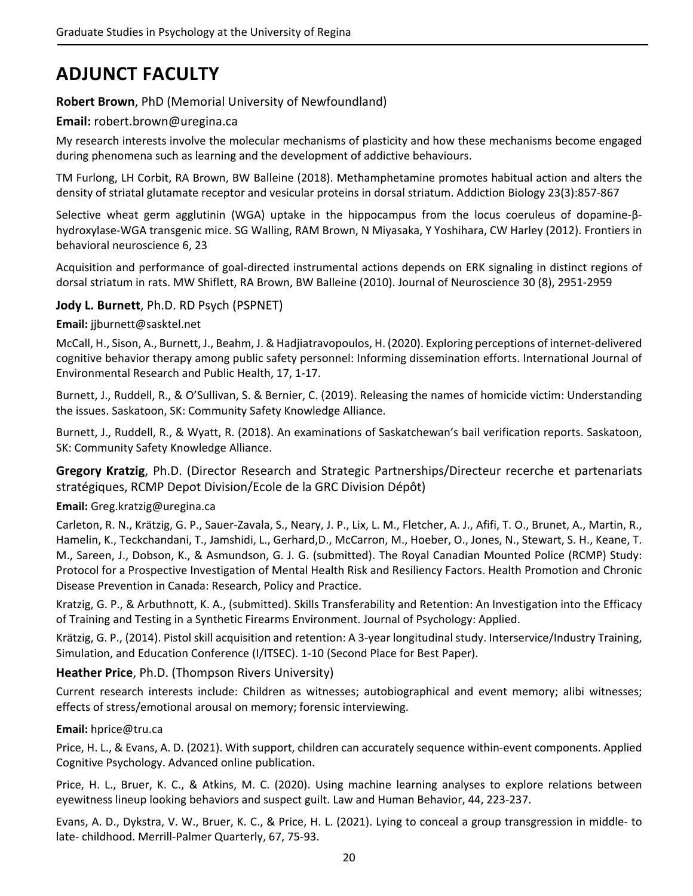# **ADJUNCT FACULTY**

### **Robert Brown**, PhD (Memorial University of Newfoundland)

## **Email:** robert.brown@uregina.ca

My research interests involve the molecular mechanisms of plasticity and how these mechanisms become engaged during phenomena such as learning and the development of addictive behaviours.

TM Furlong, LH Corbit, RA Brown, BW Balleine (2018). Methamphetamine promotes habitual action and alters the density of striatal glutamate receptor and vesicular proteins in dorsal striatum. Addiction Biology 23(3):857‐867

Selective wheat germ agglutinin (WGA) uptake in the hippocampus from the locus coeruleus of dopamine‐β‐ hydroxylase‐WGA transgenic mice. SG Walling, RAM Brown, N Miyasaka, Y Yoshihara, CW Harley (2012). Frontiers in behavioral neuroscience 6, 23

Acquisition and performance of goal‐directed instrumental actions depends on ERK signaling in distinct regions of dorsal striatum in rats. MW Shiflett, RA Brown, BW Balleine (2010). Journal of Neuroscience 30 (8), 2951‐2959

## **Jody L. Burnett**, Ph.D. RD Psych (PSPNET)

**Email:** jjburnett@sasktel.net

McCall, H., Sison, A., Burnett, J., Beahm, J. & Hadjiatravopoulos, H. (2020). Exploring perceptions of internet‐delivered cognitive behavior therapy among public safety personnel: Informing dissemination efforts. International Journal of Environmental Research and Public Health, 17, 1‐17.

Burnett, J., Ruddell, R., & O'Sullivan, S. & Bernier, C. (2019). Releasing the names of homicide victim: Understanding the issues. Saskatoon, SK: Community Safety Knowledge Alliance.

Burnett, J., Ruddell, R., & Wyatt, R. (2018). An examinations of Saskatchewan's bail verification reports. Saskatoon, SK: Community Safety Knowledge Alliance.

**Gregory Kratzig**, Ph.D. (Director Research and Strategic Partnerships/Directeur recerche et partenariats stratégiques, RCMP Depot Division/Ecole de la GRC Division Dépôt)

### **Email:** Greg.kratzig@uregina.ca

Carleton, R. N., Krätzig, G. P., Sauer‐Zavala, S., Neary, J. P., Lix, L. M., Fletcher, A. J., Afifi, T. O., Brunet, A., Martin, R., Hamelin, K., Teckchandani, T., Jamshidi, L., Gerhard,D., McCarron, M., Hoeber, O., Jones, N., Stewart, S. H., Keane, T. M., Sareen, J., Dobson, K., & Asmundson, G. J. G. (submitted). The Royal Canadian Mounted Police (RCMP) Study: Protocol for a Prospective Investigation of Mental Health Risk and Resiliency Factors. Health Promotion and Chronic Disease Prevention in Canada: Research, Policy and Practice.

Kratzig, G. P., & Arbuthnott, K. A., (submitted). Skills Transferability and Retention: An Investigation into the Efficacy of Training and Testing in a Synthetic Firearms Environment. Journal of Psychology: Applied.

Krätzig, G. P., (2014). Pistol skill acquisition and retention: A 3‐year longitudinal study. Interservice/Industry Training, Simulation, and Education Conference (I/ITSEC). 1‐10 (Second Place for Best Paper).

### **Heather Price**, Ph.D. (Thompson Rivers University)

Current research interests include: Children as witnesses; autobiographical and event memory; alibi witnesses; effects of stress/emotional arousal on memory; forensic interviewing.

### **Email:** hprice@tru.ca

Price, H. L., & Evans, A. D. (2021). With support, children can accurately sequence within‐event components. Applied Cognitive Psychology. Advanced online publication.

Price, H. L., Bruer, K. C., & Atkins, M. C. (2020). Using machine learning analyses to explore relations between eyewitness lineup looking behaviors and suspect guilt. Law and Human Behavior, 44, 223‐237.

Evans, A. D., Dykstra, V. W., Bruer, K. C., & Price, H. L. (2021). Lying to conceal a group transgression in middle‐ to late‐ childhood. Merrill‐Palmer Quarterly, 67, 75‐93.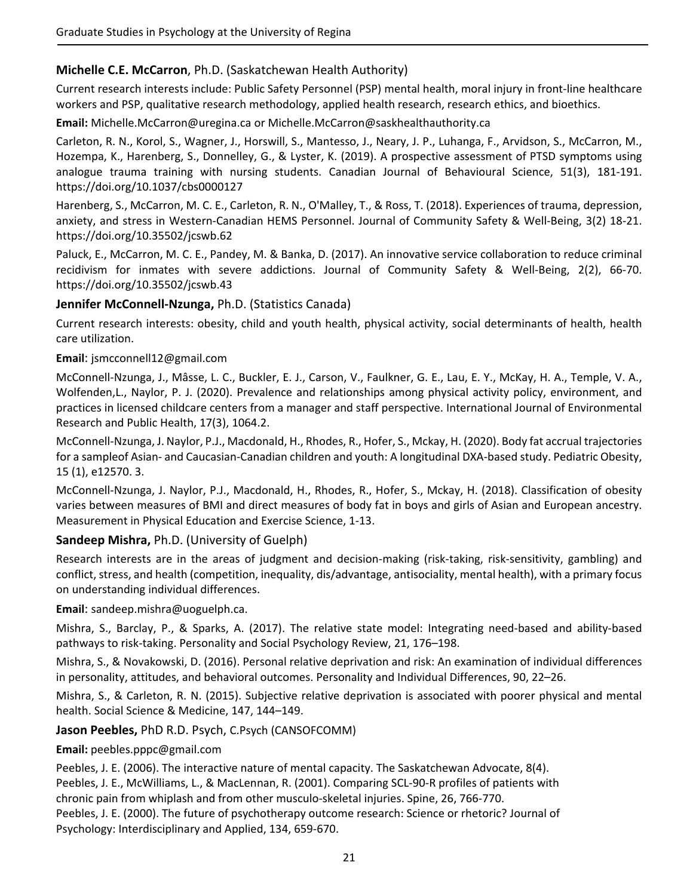## **Michelle C.E. McCarron**, Ph.D. (Saskatchewan Health Authority)

Current research interests include: Public Safety Personnel (PSP) mental health, moral injury in front‐line healthcare workers and PSP, qualitative research methodology, applied health research, research ethics, and bioethics.

**Email:** Michelle.McCarron@uregina.ca or Michelle.McCarron@saskhealthauthority.ca

Carleton, R. N., Korol, S., Wagner, J., Horswill, S., Mantesso, J., Neary, J. P., Luhanga, F., Arvidson, S., McCarron, M., Hozempa, K., Harenberg, S., Donnelley, G., & Lyster, K. (2019). A prospective assessment of PTSD symptoms using analogue trauma training with nursing students. Canadian Journal of Behavioural Science, 51(3), 181‐191. https://doi.org/10.1037/cbs0000127

Harenberg, S., McCarron, M. C. E., Carleton, R. N., O'Malley, T., & Ross, T. (2018). Experiences of trauma, depression, anxiety, and stress in Western‐Canadian HEMS Personnel. Journal of Community Safety & Well‐Being, 3(2) 18‐21. https://doi.org/10.35502/jcswb.62

Paluck, E., McCarron, M. C. E., Pandey, M. & Banka, D. (2017). An innovative service collaboration to reduce criminal recidivism for inmates with severe addictions. Journal of Community Safety & Well‐Being, 2(2), 66‐70. https://doi.org/10.35502/jcswb.43

### **Jennifer McConnell‐Nzunga,** Ph.D. (Statistics Canada)

Current research interests: obesity, child and youth health, physical activity, social determinants of health, health care utilization.

### **Email**: jsmcconnell12@gmail.com

McConnell‐Nzunga, J., Mâsse, L. C., Buckler, E. J., Carson, V., Faulkner, G. E., Lau, E. Y., McKay, H. A., Temple, V. A., Wolfenden,L., Naylor, P. J. (2020). Prevalence and relationships among physical activity policy, environment, and practices in licensed childcare centers from a manager and staff perspective. International Journal of Environmental Research and Public Health, 17(3), 1064.2.

McConnell‐Nzunga, J. Naylor, P.J., Macdonald, H., Rhodes, R., Hofer, S., Mckay, H. (2020). Body fat accrual trajectories for a sampleof Asian‐ and Caucasian‐Canadian children and youth: A longitudinal DXA‐based study. Pediatric Obesity, 15 (1), e12570. 3.

McConnell‐Nzunga, J. Naylor, P.J., Macdonald, H., Rhodes, R., Hofer, S., Mckay, H. (2018). Classification of obesity varies between measures of BMI and direct measures of body fat in boys and girls of Asian and European ancestry. Measurement in Physical Education and Exercise Science, 1‐13.

### **Sandeep Mishra,** Ph.D. (University of Guelph)

Research interests are in the areas of judgment and decision-making (risk-taking, risk-sensitivity, gambling) and conflict, stress, and health (competition, inequality, dis/advantage, antisociality, mental health), with a primary focus on understanding individual differences.

**Email**: sandeep.mishra@uoguelph.ca.

Mishra, S., Barclay, P., & Sparks, A. (2017). The relative state model: Integrating need-based and ability-based pathways to risk‐taking. Personality and Social Psychology Review, 21, 176–198.

Mishra, S., & Novakowski, D. (2016). Personal relative deprivation and risk: An examination of individual differences in personality, attitudes, and behavioral outcomes. Personality and Individual Differences, 90, 22–26.

Mishra, S., & Carleton, R. N. (2015). Subjective relative deprivation is associated with poorer physical and mental health. Social Science & Medicine, 147, 144–149.

**Jason Peebles,** PhD R.D. Psych, C.Psych (CANSOFCOMM)

### **Email:** peebles.pppc@gmail.com

Peebles, J. E. (2006). The interactive nature of mental capacity. The Saskatchewan Advocate, 8(4). Peebles, J. E., McWilliams, L., & MacLennan, R. (2001). Comparing SCL‐90‐R profiles of patients with chronic pain from whiplash and from other musculo‐skeletal injuries. Spine, 26, 766‐770. Peebles, J. E. (2000). The future of psychotherapy outcome research: Science or rhetoric? Journal of Psychology: Interdisciplinary and Applied, 134, 659‐670.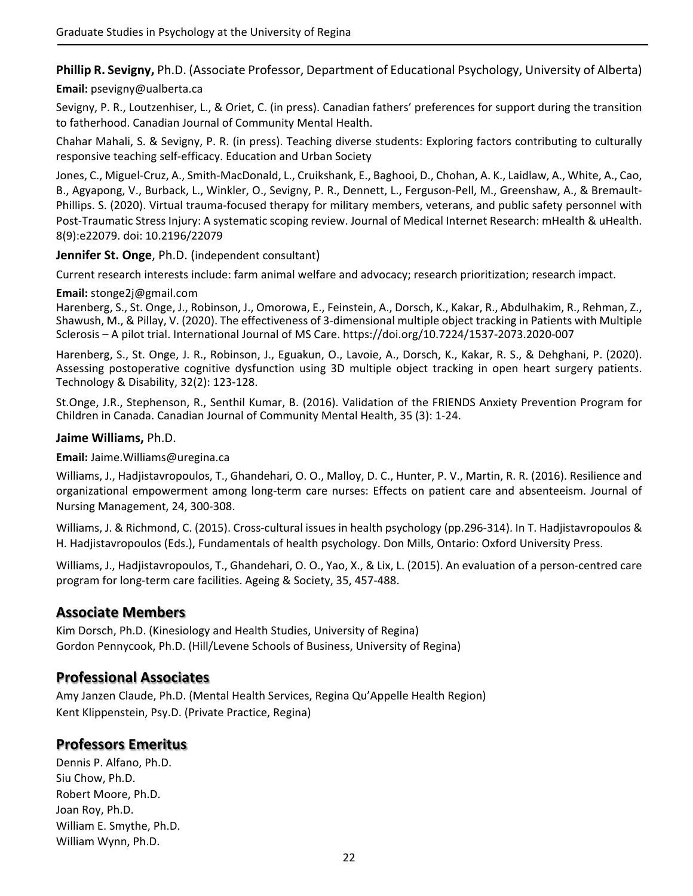**Phillip R. Sevigny,** Ph.D. (Associate Professor, Department of Educational Psychology, University of Alberta)

### **Email:** psevigny@ualberta.ca

Sevigny, P. R., Loutzenhiser, L., & Oriet, C. (in press). Canadian fathers' preferences for support during the transition to fatherhood. Canadian Journal of Community Mental Health.

Chahar Mahali, S. & Sevigny, P. R. (in press). Teaching diverse students: Exploring factors contributing to culturally responsive teaching self‐efficacy. Education and Urban Society

Jones, C., Miguel‐Cruz, A., Smith‐MacDonald, L., Cruikshank, E., Baghooi, D., Chohan, A. K., Laidlaw, A., White, A., Cao, B., Agyapong, V., Burback, L., Winkler, O., Sevigny, P. R., Dennett, L., Ferguson‐Pell, M., Greenshaw, A., & Bremault‐ Phillips. S. (2020). Virtual trauma‐focused therapy for military members, veterans, and public safety personnel with Post-Traumatic Stress Injury: A systematic scoping review. Journal of Medical Internet Research: mHealth & uHealth. 8(9):e22079. doi: 10.2196/22079

### **Jennifer St. Onge**, Ph.D. (independent consultant)

Current research interests include: farm animal welfare and advocacy; research prioritization; research impact.

### **Email:** stonge2j@gmail.com

Harenberg, S., St. Onge, J., Robinson, J., Omorowa, E., Feinstein, A., Dorsch, K., Kakar, R., Abdulhakim, R., Rehman, Z., Shawush, M., & Pillay, V. (2020). The effectiveness of 3‐dimensional multiple object tracking in Patients with Multiple Sclerosis – A pilot trial. International Journal of MS Care. https://doi.org/10.7224/1537‐2073.2020‐007

Harenberg, S., St. Onge, J. R., Robinson, J., Eguakun, O., Lavoie, A., Dorsch, K., Kakar, R. S., & Dehghani, P. (2020). Assessing postoperative cognitive dysfunction using 3D multiple object tracking in open heart surgery patients. Technology & Disability, 32(2): 123‐128.

St.Onge, J.R., Stephenson, R., Senthil Kumar, B. (2016). Validation of the FRIENDS Anxiety Prevention Program for Children in Canada. Canadian Journal of Community Mental Health, 35 (3): 1‐24.

### **Jaime Williams,** Ph.D.

**Email:** Jaime.Williams@uregina.ca

Williams, J., Hadjistavropoulos, T., Ghandehari, O. O., Malloy, D. C., Hunter, P. V., Martin, R. R. (2016). Resilience and organizational empowerment among long‐term care nurses: Effects on patient care and absenteeism. Journal of Nursing Management, 24, 300‐308.

Williams, J. & Richmond, C. (2015). Cross-cultural issues in health psychology (pp.296-314). In T. Hadjistavropoulos & H. Hadjistavropoulos (Eds.), Fundamentals of health psychology. Don Mills, Ontario: Oxford University Press.

Williams, J., Hadjistavropoulos, T., Ghandehari, O. O., Yao, X., & Lix, L. (2015). An evaluation of a person‐centred care program for long‐term care facilities. Ageing & Society, 35, 457‐488.

## **Associate Members**

Kim Dorsch, Ph.D. (Kinesiology and Health Studies, University of Regina) Gordon Pennycook, Ph.D. (Hill/Levene Schools of Business, University of Regina)

## **Professional Associates**

Amy Janzen Claude, Ph.D. (Mental Health Services, Regina Qu'Appelle Health Region) Kent Klippenstein, Psy.D. (Private Practice, Regina)

## **Professors Emeritus**

Dennis P. Alfano, Ph.D. Siu Chow, Ph.D. Robert Moore, Ph.D. Joan Roy, Ph.D. William E. Smythe, Ph.D. William Wynn, Ph.D.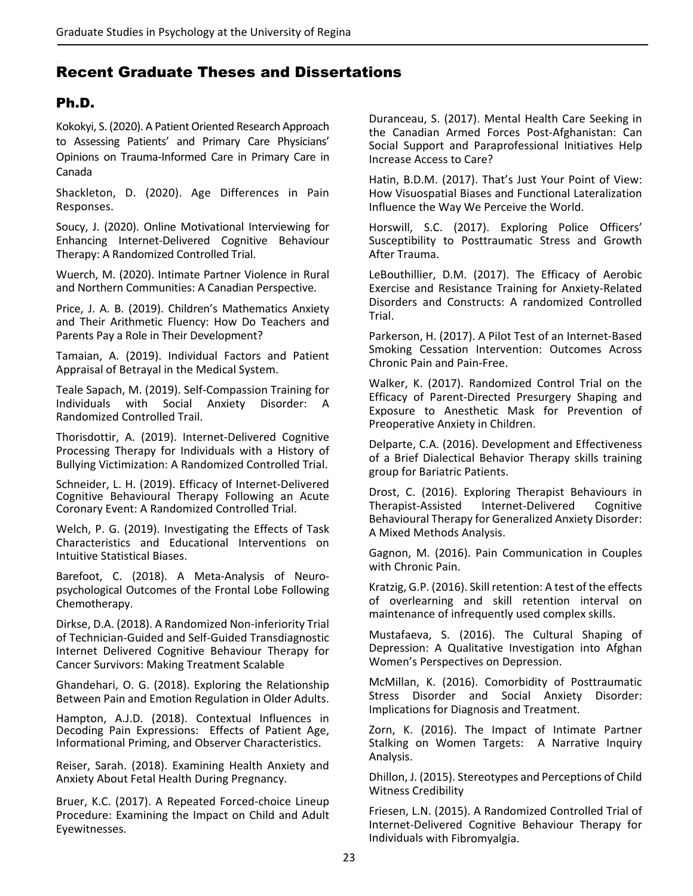# Recent Graduate Theses and Dissertations

# Ph.D.

Kokokyi, S. (2020). A Patient Oriented Research Approach to Assessing Patients' and Primary Care Physicians' Opinions on Trauma‐Informed Care in Primary Care in Canada

Shackleton, D. (2020). Age Differences in Pain Responses.

Soucy, J. (2020). Online Motivational Interviewing for Enhancing Internet‐Delivered Cognitive Behaviour Therapy: A Randomized Controlled Trial.

Wuerch, M. (2020). Intimate Partner Violence in Rural and Northern Communities: A Canadian Perspective.

Price, J. A. B. (2019). Children's Mathematics Anxiety and Their Arithmetic Fluency: How Do Teachers and Parents Pay a Role in Their Development?

Tamaian, A. (2019). Individual Factors and Patient Appraisal of Betrayal in the Medical System.

Teale Sapach, M. (2019). Self‐Compassion Training for Individuals with Social Anxiety Disorder: A Randomized Controlled Trail.

Thorisdottir, A. (2019). Internet‐Delivered Cognitive Processing Therapy for Individuals with a History of Bullying Victimization: A Randomized Controlled Trial.

Schneider, L. H. (2019). Efficacy of Internet‐Delivered Cognitive Behavioural Therapy Following an Acute Coronary Event: A Randomized Controlled Trial.

Welch, P. G. (2019). Investigating the Effects of Task Characteristics and Educational Interventions on Intuitive Statistical Biases.

Barefoot, C. (2018). A Meta‐Analysis of Neuro‐ psychological Outcomes of the Frontal Lobe Following Chemotherapy.

Dirkse, D.A. (2018). A Randomized Non‐inferiority Trial of Technician‐Guided and Self‐Guided Transdiagnostic Internet Delivered Cognitive Behaviour Therapy for Cancer Survivors: Making Treatment Scalable

Ghandehari, O. G. (2018). Exploring the Relationship Between Pain and Emotion Regulation in Older Adults.

Hampton, A.J.D. (2018). Contextual Influences in Decoding Pain Expressions: Effects of Patient Age, Informational Priming, and Observer Characteristics.

Reiser, Sarah. (2018). Examining Health Anxiety and Anxiety About Fetal Health During Pregnancy.

Bruer, K.C. (2017). A Repeated Forced‐choice Lineup Procedure: Examining the Impact on Child and Adult Eyewitnesses.

Duranceau, S. (2017). Mental Health Care Seeking in the Canadian Armed Forces Post‐Afghanistan: Can Social Support and Paraprofessional Initiatives Help Increase Access to Care?

Hatin, B.D.M. (2017). That's Just Your Point of View: How Visuospatial Biases and Functional Lateralization Influence the Way We Perceive the World.

Horswill, S.C. (2017). Exploring Police Officers' Susceptibility to Posttraumatic Stress and Growth After Trauma.

LeBouthillier, D.M. (2017). The Efficacy of Aerobic Exercise and Resistance Training for Anxiety‐Related Disorders and Constructs: A randomized Controlled Trial.

Parkerson, H. (2017). A Pilot Test of an Internet‐Based Smoking Cessation Intervention: Outcomes Across Chronic Pain and Pain‐Free.

Walker, K. (2017). Randomized Control Trial on the Efficacy of Parent‐Directed Presurgery Shaping and Exposure to Anesthetic Mask for Prevention of Preoperative Anxiety in Children.

Delparte, C.A. (2016). Development and Effectiveness of a Brief Dialectical Behavior Therapy skills training group for Bariatric Patients.

Drost, C. (2016). Exploring Therapist Behaviours in Therapist‐Assisted Internet‐Delivered Cognitive Behavioural Therapy for Generalized Anxiety Disorder: A Mixed Methods Analysis.

Gagnon, M. (2016). Pain Communication in Couples with Chronic Pain.

Kratzig, G.P. (2016). Skill retention: A test of the effects of overlearning and skill retention interval on maintenance of infrequently used complex skills.

Mustafaeva, S. (2016). The Cultural Shaping of Depression: A Qualitative Investigation into Afghan Women's Perspectives on Depression.

McMillan, K. (2016). Comorbidity of Posttraumatic Stress Disorder and Social Anxiety Disorder: Implications for Diagnosis and Treatment.

Zorn, K. (2016). The Impact of Intimate Partner Stalking on Women Targets: A Narrative Inquiry Analysis.

Dhillon, J. (2015). Stereotypes and Perceptions of Child Witness Credibility

Friesen, L.N. (2015). A Randomized Controlled Trial of Internet‐Delivered Cognitive Behaviour Therapy for Individuals with Fibromyalgia.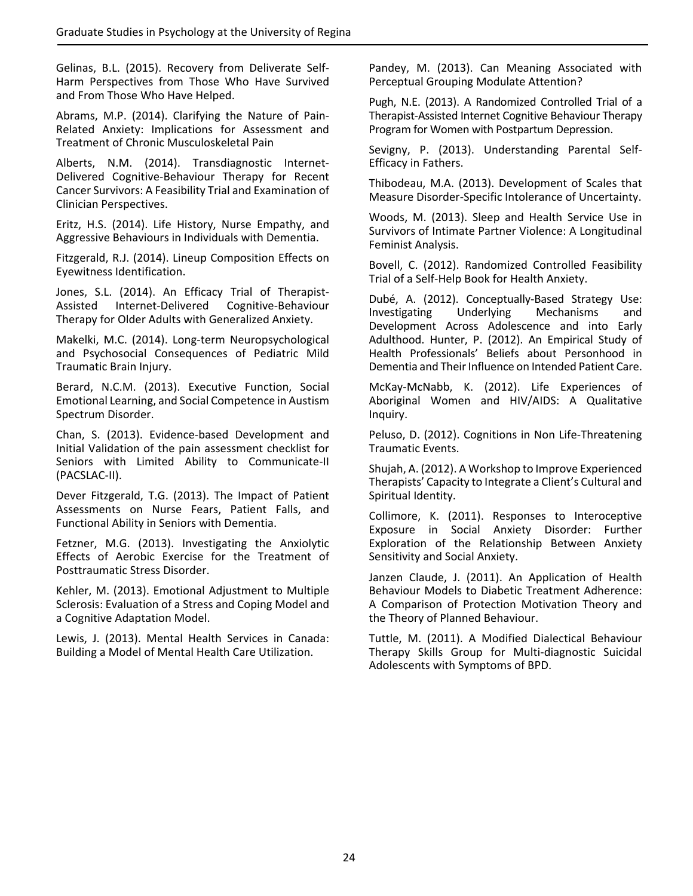Gelinas, B.L. (2015). Recovery from Deliverate Self‐ Harm Perspectives from Those Who Have Survived and From Those Who Have Helped.

Abrams, M.P. (2014). Clarifying the Nature of Pain‐ Related Anxiety: Implications for Assessment and Treatment of Chronic Musculoskeletal Pain

Alberts, N.M. (2014). Transdiagnostic Internet‐ Delivered Cognitive‐Behaviour Therapy for Recent Cancer Survivors: A Feasibility Trial and Examination of Clinician Perspectives.

Eritz, H.S. (2014). Life History, Nurse Empathy, and Aggressive Behaviours in Individuals with Dementia.

Fitzgerald, R.J. (2014). Lineup Composition Effects on Eyewitness Identification.

Jones, S.L. (2014). An Efficacy Trial of Therapist-Assisted Internet‐Delivered Cognitive‐Behaviour Therapy for Older Adults with Generalized Anxiety.

Makelki, M.C. (2014). Long‐term Neuropsychological and Psychosocial Consequences of Pediatric Mild Traumatic Brain Injury.

Berard, N.C.M. (2013). Executive Function, Social Emotional Learning, and Social Competence in Austism Spectrum Disorder.

Chan, S. (2013). Evidence‐based Development and Initial Validation of the pain assessment checklist for Seniors with Limited Ability to Communicate‐II (PACSLAC‐II).

Dever Fitzgerald, T.G. (2013). The Impact of Patient Assessments on Nurse Fears, Patient Falls, and Functional Ability in Seniors with Dementia.

Fetzner, M.G. (2013). Investigating the Anxiolytic Effects of Aerobic Exercise for the Treatment of Posttraumatic Stress Disorder.

Kehler, M. (2013). Emotional Adjustment to Multiple Sclerosis: Evaluation of a Stress and Coping Model and a Cognitive Adaptation Model.

Lewis, J. (2013). Mental Health Services in Canada: Building a Model of Mental Health Care Utilization.

Pandey, M. (2013). Can Meaning Associated with Perceptual Grouping Modulate Attention?

Pugh, N.E. (2013). A Randomized Controlled Trial of a Therapist‐Assisted Internet Cognitive Behaviour Therapy Program for Women with Postpartum Depression.

Sevigny, P. (2013). Understanding Parental Self‐ Efficacy in Fathers.

Thibodeau, M.A. (2013). Development of Scales that Measure Disorder‐Specific Intolerance of Uncertainty.

Woods, M. (2013). Sleep and Health Service Use in Survivors of Intimate Partner Violence: A Longitudinal Feminist Analysis.

Bovell, C. (2012). Randomized Controlled Feasibility Trial of a Self‐Help Book for Health Anxiety.

Dubé, A. (2012). Conceptually‐Based Strategy Use: Investigating Underlying Mechanisms and Development Across Adolescence and into Early Adulthood. Hunter, P. (2012). An Empirical Study of Health Professionals' Beliefs about Personhood in Dementia and Their Influence on Intended Patient Care.

McKay‐McNabb, K. (2012). Life Experiences of Aboriginal Women and HIV/AIDS: A Qualitative Inquiry.

Peluso, D. (2012). Cognitions in Non Life‐Threatening Traumatic Events.

Shujah, A. (2012). A Workshop to Improve Experienced Therapists' Capacity to Integrate a Client's Cultural and Spiritual Identity.

Collimore, K. (2011). Responses to Interoceptive Exposure in Social Anxiety Disorder: Further Exploration of the Relationship Between Anxiety Sensitivity and Social Anxiety.

Janzen Claude, J. (2011). An Application of Health Behaviour Models to Diabetic Treatment Adherence: A Comparison of Protection Motivation Theory and the Theory of Planned Behaviour.

Tuttle, M. (2011). A Modified Dialectical Behaviour Therapy Skills Group for Multi‐diagnostic Suicidal Adolescents with Symptoms of BPD.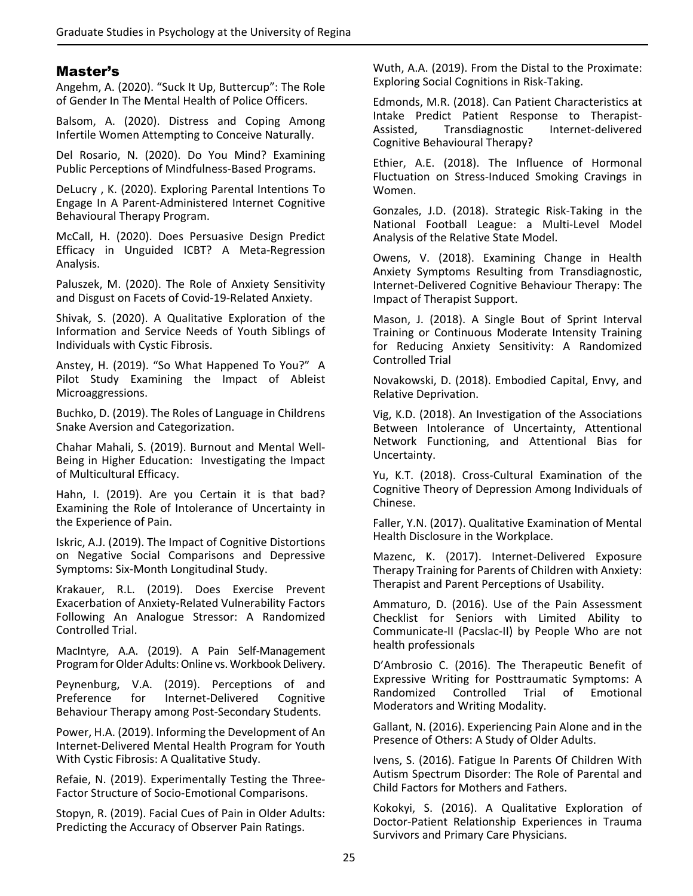## Master's

Angehm, A. (2020). "Suck It Up, Buttercup": The Role of Gender In The Mental Health of Police Officers.

Balsom, A. (2020). Distress and Coping Among Infertile Women Attempting to Conceive Naturally.

Del Rosario, N. (2020). Do You Mind? Examining Public Perceptions of Mindfulness‐Based Programs.

DeLucry , K. (2020). Exploring Parental Intentions To Engage In A Parent‐Administered Internet Cognitive Behavioural Therapy Program.

McCall, H. (2020). Does Persuasive Design Predict Efficacy in Unguided ICBT? A Meta‐Regression Analysis.

Paluszek, M. (2020). The Role of Anxiety Sensitivity and Disgust on Facets of Covid‐19‐Related Anxiety.

Shivak, S. (2020). A Qualitative Exploration of the Information and Service Needs of Youth Siblings of Individuals with Cystic Fibrosis.

Anstey, H. (2019). "So What Happened To You?" A Pilot Study Examining the Impact of Ableist Microaggressions.

Buchko, D. (2019). The Roles of Language in Childrens Snake Aversion and Categorization.

Chahar Mahali, S. (2019). Burnout and Mental Well‐ Being in Higher Education: Investigating the Impact of Multicultural Efficacy.

Hahn, I. (2019). Are you Certain it is that bad? Examining the Role of Intolerance of Uncertainty in the Experience of Pain.

Iskric, A.J. (2019). The Impact of Cognitive Distortions on Negative Social Comparisons and Depressive Symptoms: Six‐Month Longitudinal Study.

Krakauer, R.L. (2019). Does Exercise Prevent Exacerbation of Anxiety‐Related Vulnerability Factors Following An Analogue Stressor: A Randomized Controlled Trial.

MacIntyre, A.A. (2019). A Pain Self‐Management Program for Older Adults: Online vs. Workbook Delivery.

Peynenburg, V.A. (2019). Perceptions of and Preference for Internet‐Delivered Cognitive Behaviour Therapy among Post‐Secondary Students.

Power, H.A. (2019). Informing the Development of An Internet‐Delivered Mental Health Program for Youth With Cystic Fibrosis: A Qualitative Study.

Refaie, N. (2019). Experimentally Testing the Three‐ Factor Structure of Socio‐Emotional Comparisons.

Stopyn, R. (2019). Facial Cues of Pain in Older Adults: Predicting the Accuracy of Observer Pain Ratings.

Wuth, A.A. (2019). From the Distal to the Proximate: Exploring Social Cognitions in Risk‐Taking.

Edmonds, M.R. (2018). Can Patient Characteristics at Intake Predict Patient Response to Therapist‐ Assisted, Transdiagnostic Internet‐delivered Cognitive Behavioural Therapy?

Ethier, A.E. (2018). The Influence of Hormonal Fluctuation on Stress-Induced Smoking Cravings in Women.

Gonzales, J.D. (2018). Strategic Risk‐Taking in the National Football League: a Multi‐Level Model Analysis of the Relative State Model.

Owens, V. (2018). Examining Change in Health Anxiety Symptoms Resulting from Transdiagnostic, Internet‐Delivered Cognitive Behaviour Therapy: The Impact of Therapist Support.

Mason, J. (2018). A Single Bout of Sprint Interval Training or Continuous Moderate Intensity Training for Reducing Anxiety Sensitivity: A Randomized Controlled Trial

Novakowski, D. (2018). Embodied Capital, Envy, and Relative Deprivation.

Vig, K.D. (2018). An Investigation of the Associations Between Intolerance of Uncertainty, Attentional Network Functioning, and Attentional Bias for Uncertainty.

Yu, K.T. (2018). Cross‐Cultural Examination of the Cognitive Theory of Depression Among Individuals of Chinese.

Faller, Y.N. (2017). Qualitative Examination of Mental Health Disclosure in the Workplace.

Mazenc, K. (2017). Internet‐Delivered Exposure Therapy Training for Parents of Children with Anxiety: Therapist and Parent Perceptions of Usability.

Ammaturo, D. (2016). Use of the Pain Assessment Checklist for Seniors with Limited Ability to Communicate‐II (Pacslac‐II) by People Who are not health professionals

D'Ambrosio C. (2016). The Therapeutic Benefit of Expressive Writing for Posttraumatic Symptoms: A Randomized Controlled Trial of Emotional Moderators and Writing Modality.

Gallant, N. (2016). Experiencing Pain Alone and in the Presence of Others: A Study of Older Adults.

Ivens, S. (2016). Fatigue In Parents Of Children With Autism Spectrum Disorder: The Role of Parental and Child Factors for Mothers and Fathers.

Kokokyi, S. (2016). A Qualitative Exploration of Doctor‐Patient Relationship Experiences in Trauma Survivors and Primary Care Physicians.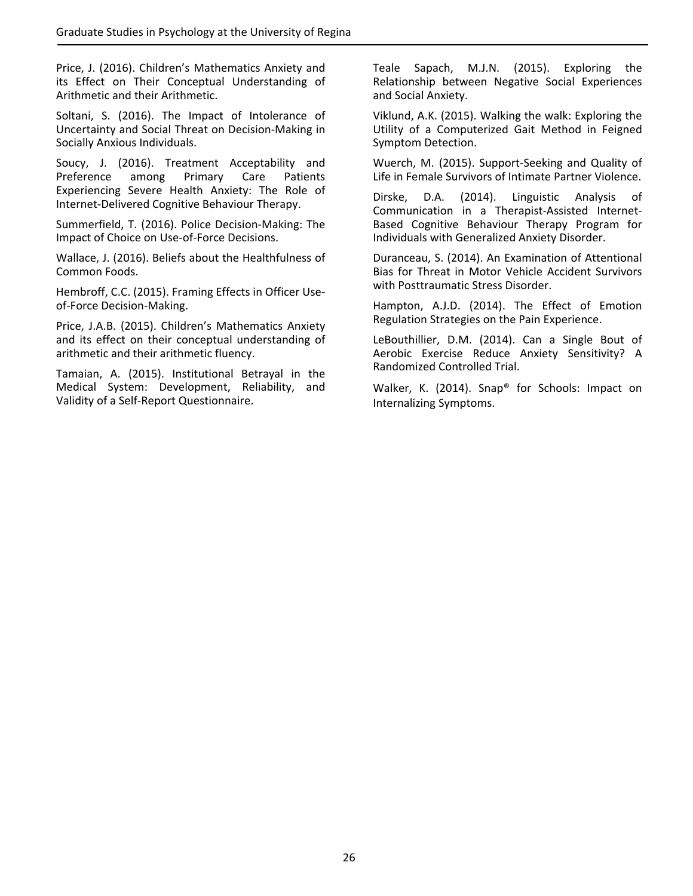Price, J. (2016). Children's Mathematics Anxiety and its Effect on Their Conceptual Understanding of Arithmetic and their Arithmetic.

Soltani, S. (2016). The Impact of Intolerance of Uncertainty and Social Threat on Decision‐Making in Socially Anxious Individuals.

Soucy, J. (2016). Treatment Acceptability and Preference among Primary Care Patients Experiencing Severe Health Anxiety: The Role of Internet‐Delivered Cognitive Behaviour Therapy.

Summerfield, T. (2016). Police Decision‐Making: The Impact of Choice on Use‐of‐Force Decisions.

Wallace, J. (2016). Beliefs about the Healthfulness of Common Foods.

Hembroff, C.C. (2015). Framing Effects in Officer Use‐ of‐Force Decision‐Making.

Price, J.A.B. (2015). Children's Mathematics Anxiety and its effect on their conceptual understanding of arithmetic and their arithmetic fluency.

Tamaian, A. (2015). Institutional Betrayal in the Medical System: Development, Reliability, and Validity of a Self‐Report Questionnaire.

Teale Sapach, M.J.N. (2015). Exploring the Relationship between Negative Social Experiences and Social Anxiety.

Viklund, A.K. (2015). Walking the walk: Exploring the Utility of a Computerized Gait Method in Feigned Symptom Detection.

Wuerch, M. (2015). Support‐Seeking and Quality of Life in Female Survivors of Intimate Partner Violence.

Dirske, D.A. (2014). Linguistic Analysis of Communication in a Therapist‐Assisted Internet‐ Based Cognitive Behaviour Therapy Program for Individuals with Generalized Anxiety Disorder.

Duranceau, S. (2014). An Examination of Attentional Bias for Threat in Motor Vehicle Accident Survivors with Posttraumatic Stress Disorder.

Hampton, A.J.D. (2014). The Effect of Emotion Regulation Strategies on the Pain Experience.

LeBouthillier, D.M. (2014). Can a Single Bout of Aerobic Exercise Reduce Anxiety Sensitivity? A Randomized Controlled Trial.

Walker, K. (2014). Snap® for Schools: Impact on Internalizing Symptoms.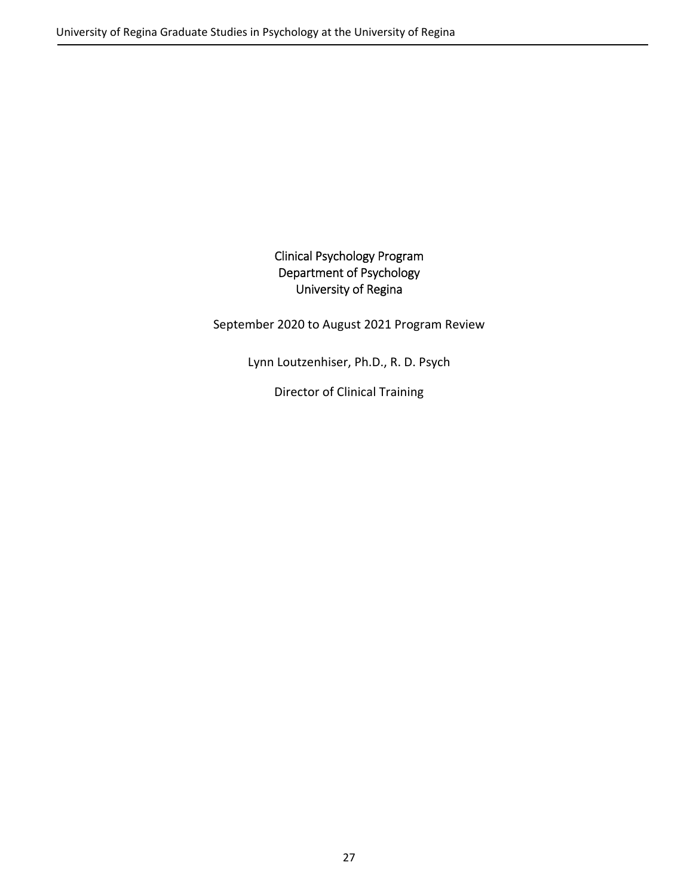## Clinical Psychology Program Department of Psychology University of Regina

September 2020 to August 2021 Program Review

Lynn Loutzenhiser, Ph.D., R. D. Psych

Director of Clinical Training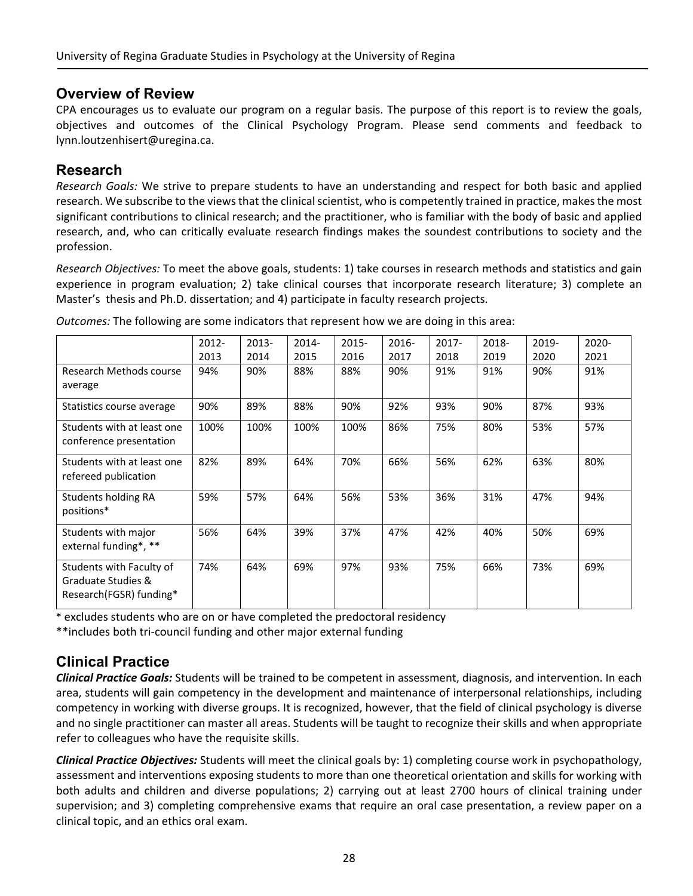## **Overview of Review**

CPA encourages us to evaluate our program on a regular basis. The purpose of this report is to review the goals, objectives and outcomes of the Clinical Psychology Program. Please send comments and feedback to lynn.loutzenhisert@uregina.ca.

## **Research**

*Research Goals:* We strive to prepare students to have an understanding and respect for both basic and applied research. We subscribe to the views that the clinical scientist, who is competently trained in practice, makes the most significant contributions to clinical research; and the practitioner, who is familiar with the body of basic and applied research, and, who can critically evaluate research findings makes the soundest contributions to society and the profession.

*Research Objectives:* To meet the above goals, students: 1) take courses in research methods and statistics and gain experience in program evaluation; 2) take clinical courses that incorporate research literature; 3) complete an Master's thesis and Ph.D. dissertation; and 4) participate in faculty research projects.

|                            | 2012- | 2013- | 2014- | $2015 -$ | 2016- | $2017 -$ | 2018- | 2019- | 2020- |
|----------------------------|-------|-------|-------|----------|-------|----------|-------|-------|-------|
|                            | 2013  | 2014  | 2015  | 2016     | 2017  | 2018     | 2019  | 2020  | 2021  |
| Research Methods course    | 94%   | 90%   | 88%   | 88%      | 90%   | 91%      | 91%   | 90%   | 91%   |
| average                    |       |       |       |          |       |          |       |       |       |
| Statistics course average  | 90%   | 89%   | 88%   | 90%      | 92%   | 93%      | 90%   | 87%   | 93%   |
| Students with at least one | 100%  | 100%  | 100%  | 100%     | 86%   | 75%      | 80%   | 53%   | 57%   |
| conference presentation    |       |       |       |          |       |          |       |       |       |
| Students with at least one | 82%   | 89%   | 64%   | 70%      | 66%   | 56%      | 62%   | 63%   | 80%   |
| refereed publication       |       |       |       |          |       |          |       |       |       |
| <b>Students holding RA</b> | 59%   | 57%   | 64%   | 56%      | 53%   | 36%      | 31%   | 47%   | 94%   |
| positions*                 |       |       |       |          |       |          |       |       |       |
| Students with major        | 56%   | 64%   | 39%   | 37%      | 47%   | 42%      | 40%   | 50%   | 69%   |
| external funding*, **      |       |       |       |          |       |          |       |       |       |
| Students with Faculty of   | 74%   | 64%   | 69%   | 97%      | 93%   | 75%      | 66%   | 73%   | 69%   |
| Graduate Studies &         |       |       |       |          |       |          |       |       |       |
| Research(FGSR) funding*    |       |       |       |          |       |          |       |       |       |

*Outcomes:* The following are some indicators that represent how we are doing in this area:

\* excludes students who are on or have completed the predoctoral residency

\*\*includes both tri‐council funding and other major external funding

# **Clinical Practice**

*Clinical Practice Goals:* Students will be trained to be competent in assessment, diagnosis, and intervention. In each area, students will gain competency in the development and maintenance of interpersonal relationships, including competency in working with diverse groups. It is recognized, however, that the field of clinical psychology is diverse and no single practitioner can master all areas. Students will be taught to recognize their skills and when appropriate refer to colleagues who have the requisite skills.

*Clinical Practice Objectives:* Students will meet the clinical goals by: 1) completing course work in psychopathology, assessment and interventions exposing students to more than one theoretical orientation and skills for working with both adults and children and diverse populations; 2) carrying out at least 2700 hours of clinical training under supervision; and 3) completing comprehensive exams that require an oral case presentation, a review paper on a clinical topic, and an ethics oral exam.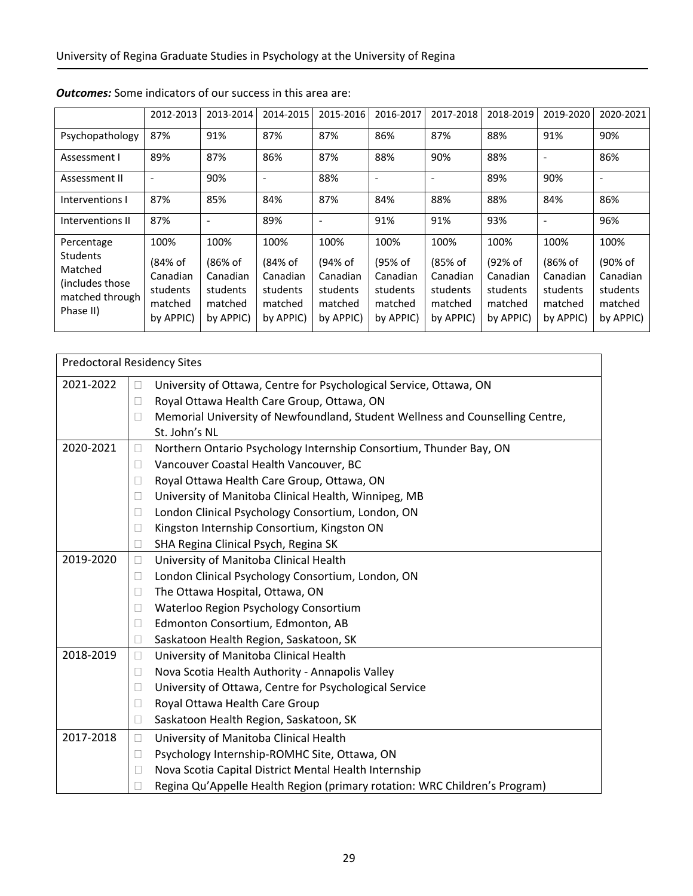|                                                                                              | 2012-2013                                                       | 2013-2014                                                       | 2014-2015                                                       | 2015-2016                                                       | 2016-2017                                                       | 2017-2018                                                       | 2018-2019                                                       | 2019-2020                                                       | 2020-2021                                                       |
|----------------------------------------------------------------------------------------------|-----------------------------------------------------------------|-----------------------------------------------------------------|-----------------------------------------------------------------|-----------------------------------------------------------------|-----------------------------------------------------------------|-----------------------------------------------------------------|-----------------------------------------------------------------|-----------------------------------------------------------------|-----------------------------------------------------------------|
| Psychopathology                                                                              | 87%                                                             | 91%                                                             | 87%                                                             | 87%                                                             | 86%                                                             | 87%                                                             | 88%                                                             | 91%                                                             | 90%                                                             |
| Assessment I                                                                                 | 89%                                                             | 87%                                                             | 86%                                                             | 87%                                                             | 88%                                                             | 90%                                                             | 88%                                                             | $\overline{\phantom{0}}$                                        | 86%                                                             |
| Assessment II                                                                                | $\overline{\phantom{a}}$                                        | 90%                                                             | $\overline{\phantom{a}}$                                        | 88%                                                             | $\overline{\phantom{a}}$                                        |                                                                 | 89%                                                             | 90%                                                             | $\overline{\phantom{a}}$                                        |
| Interventions I                                                                              | 87%                                                             | 85%                                                             | 84%                                                             | 87%                                                             | 84%                                                             | 88%                                                             | 88%                                                             | 84%                                                             | 86%                                                             |
| Interventions II                                                                             | 87%                                                             | ٠                                                               | 89%                                                             | $\overline{\phantom{a}}$                                        | 91%                                                             | 91%                                                             | 93%                                                             | ٠                                                               | 96%                                                             |
| Percentage<br><b>Students</b><br>Matched<br>(includes those)<br>matched through<br>Phase II) | 100%<br>(84% of<br>Canadian<br>students<br>matched<br>by APPIC) | 100%<br>(86% of<br>Canadian<br>students<br>matched<br>by APPIC) | 100%<br>(84% of<br>Canadian<br>students<br>matched<br>by APPIC) | 100%<br>(94% of<br>Canadian<br>students<br>matched<br>by APPIC) | 100%<br>(95% of<br>Canadian<br>students<br>matched<br>by APPIC) | 100%<br>(85% of<br>Canadian<br>students<br>matched<br>by APPIC) | 100%<br>(92% of<br>Canadian<br>students<br>matched<br>by APPIC) | 100%<br>(86% of<br>Canadian<br>students<br>matched<br>by APPIC) | 100%<br>(90% of<br>Canadian<br>students<br>matched<br>by APPIC) |

## *Outcomes:* Some indicators of our success in this area are:

|           | <b>Predoctoral Residency Sites</b>                                                      |
|-----------|-----------------------------------------------------------------------------------------|
| 2021-2022 | University of Ottawa, Centre for Psychological Service, Ottawa, ON<br>П                 |
|           | Royal Ottawa Health Care Group, Ottawa, ON<br>П                                         |
|           | Memorial University of Newfoundland, Student Wellness and Counselling Centre,<br>$\Box$ |
|           | St. John's NL                                                                           |
| 2020-2021 | Northern Ontario Psychology Internship Consortium, Thunder Bay, ON<br>□                 |
|           | Vancouver Coastal Health Vancouver, BC<br>П                                             |
|           | Royal Ottawa Health Care Group, Ottawa, ON<br>L                                         |
|           | University of Manitoba Clinical Health, Winnipeg, MB<br>$\Box$                          |
|           | London Clinical Psychology Consortium, London, ON<br>$\Box$                             |
|           | Kingston Internship Consortium, Kingston ON<br>$\Box$                                   |
|           | SHA Regina Clinical Psych, Regina SK<br>$\Box$                                          |
| 2019-2020 | University of Manitoba Clinical Health<br>П                                             |
|           | London Clinical Psychology Consortium, London, ON<br>$\Box$                             |
|           | The Ottawa Hospital, Ottawa, ON<br>$\Box$                                               |
|           | Waterloo Region Psychology Consortium<br>$\Box$                                         |
|           | Edmonton Consortium, Edmonton, AB<br>$\Box$                                             |
|           | Saskatoon Health Region, Saskatoon, SK<br>П                                             |
| 2018-2019 | University of Manitoba Clinical Health<br>П                                             |
|           | Nova Scotia Health Authority - Annapolis Valley<br>$\Box$                               |
|           | University of Ottawa, Centre for Psychological Service<br>$\Box$                        |
|           | Royal Ottawa Health Care Group<br>□                                                     |
|           | Saskatoon Health Region, Saskatoon, SK<br>$\Box$                                        |
| 2017-2018 | University of Manitoba Clinical Health<br>П                                             |
|           | Psychology Internship-ROMHC Site, Ottawa, ON<br>$\Box$                                  |
|           | Nova Scotia Capital District Mental Health Internship                                   |
|           | Regina Qu'Appelle Health Region (primary rotation: WRC Children's Program)              |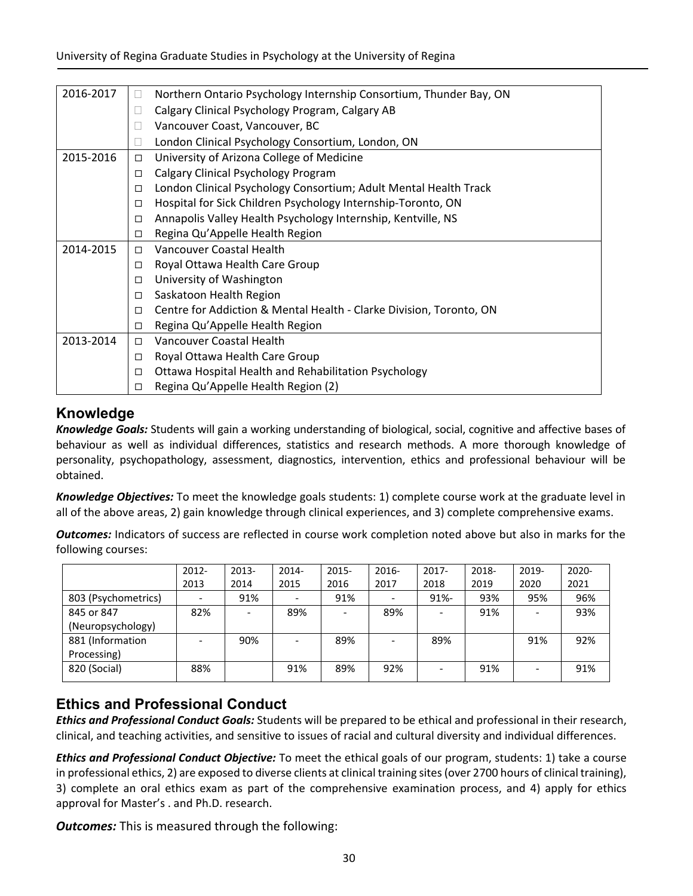| 2016-2017 | $\Box$         | Northern Ontario Psychology Internship Consortium, Thunder Bay, ON  |
|-----------|----------------|---------------------------------------------------------------------|
|           | $\Box$         | Calgary Clinical Psychology Program, Calgary AB                     |
|           | $\blacksquare$ | Vancouver Coast, Vancouver, BC                                      |
|           |                | London Clinical Psychology Consortium, London, ON                   |
| 2015-2016 | □              | University of Arizona College of Medicine                           |
|           | □              | Calgary Clinical Psychology Program                                 |
|           | □              | London Clinical Psychology Consortium; Adult Mental Health Track    |
|           | □              | Hospital for Sick Children Psychology Internship-Toronto, ON        |
|           | □              | Annapolis Valley Health Psychology Internship, Kentville, NS        |
|           | □              | Regina Qu'Appelle Health Region                                     |
| 2014-2015 | $\Box$         | Vancouver Coastal Health                                            |
|           | □              | Royal Ottawa Health Care Group                                      |
|           | □              | University of Washington                                            |
|           | □              | Saskatoon Health Region                                             |
|           | □              | Centre for Addiction & Mental Health - Clarke Division, Toronto, ON |
|           | □              | Regina Qu'Appelle Health Region                                     |
| 2013-2014 | $\Box$         | Vancouver Coastal Health                                            |
|           | □              | Royal Ottawa Health Care Group                                      |
|           | □              | Ottawa Hospital Health and Rehabilitation Psychology                |
|           | □              | Regina Qu'Appelle Health Region (2)                                 |

# **Knowledge**

*Knowledge Goals:* Students will gain a working understanding of biological, social, cognitive and affective bases of behaviour as well as individual differences, statistics and research methods. A more thorough knowledge of personality, psychopathology, assessment, diagnostics, intervention, ethics and professional behaviour will be obtained.

*Knowledge Objectives:* To meet the knowledge goals students: 1) complete course work at the graduate level in all of the above areas, 2) gain knowledge through clinical experiences, and 3) complete comprehensive exams.

*Outcomes:* Indicators of success are reflected in course work completion noted above but also in marks for the following courses:

|                     | $2012 -$ | 2013- | $2014 -$ | $2015 -$ | 2016- | $2017 -$ | 2018- | 2019- | $2020 -$ |
|---------------------|----------|-------|----------|----------|-------|----------|-------|-------|----------|
|                     | 2013     | 2014  | 2015     | 2016     | 2017  | 2018     | 2019  | 2020  | 2021     |
| 803 (Psychometrics) |          | 91%   |          | 91%      |       | $91% -$  | 93%   | 95%   | 96%      |
| 845 or 847          | 82%      |       | 89%      |          | 89%   |          | 91%   |       | 93%      |
| (Neuropsychology)   |          |       |          |          |       |          |       |       |          |
| 881 (Information    |          | 90%   |          | 89%      |       | 89%      |       | 91%   | 92%      |
| Processing)         |          |       |          |          |       |          |       |       |          |
| 820 (Social)        | 88%      |       | 91%      | 89%      | 92%   |          | 91%   |       | 91%      |
|                     |          |       |          |          |       |          |       |       |          |

# **Ethics and Professional Conduct**

*Ethics and Professional Conduct Goals:* Students will be prepared to be ethical and professional in their research, clinical, and teaching activities, and sensitive to issues of racial and cultural diversity and individual differences.

*Ethics and Professional Conduct Objective:* To meet the ethical goals of our program, students: 1) take a course in professional ethics, 2) are exposed to diverse clients at clinical training sites(over 2700 hours of clinical training), 3) complete an oral ethics exam as part of the comprehensive examination process, and 4) apply for ethics approval for Master's . and Ph.D. research.

*Outcomes:* This is measured through the following: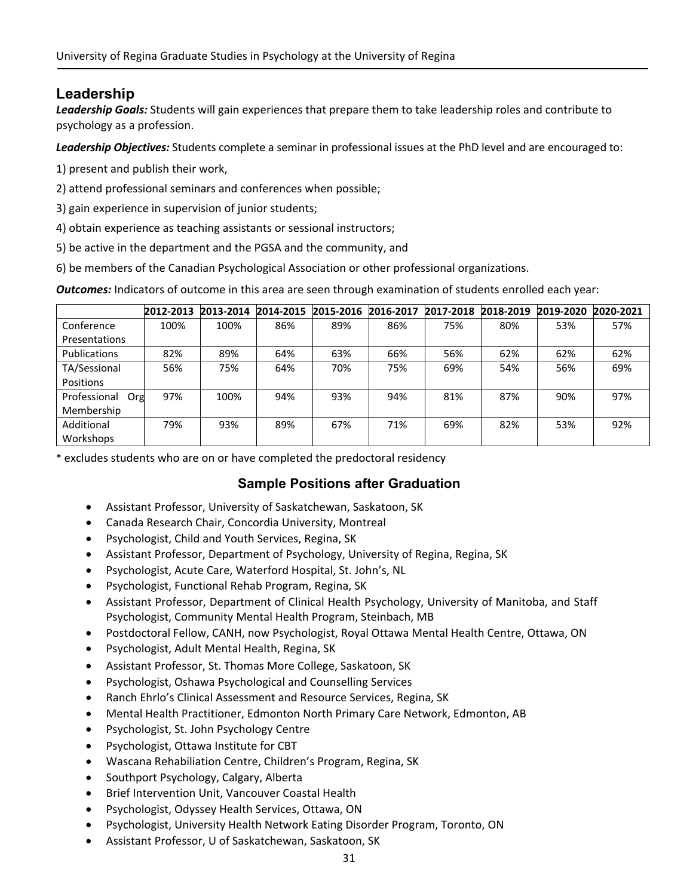# **Leadership**

*Leadership Goals:* Students will gain experiences that prepare them to take leadership roles and contribute to psychology as a profession.

*Leadership Objectives:* Students complete a seminar in professional issues at the PhD level and are encouraged to:

- 1) present and publish their work,
- 2) attend professional seminars and conferences when possible;
- 3) gain experience in supervision of junior students;
- 4) obtain experience as teaching assistants or sessional instructors;
- 5) be active in the department and the PGSA and the community, and
- 6) be members of the Canadian Psychological Association or other professional organizations.

*Outcomes:* Indicators of outcome in this area are seen through examination of students enrolled each year:

|                     | 2012-2013 | 2013-2014 | 2014-2015 | 2015-2016 | 2016-2017 | 2017-2018 | 2018-2019 | 2019-2020 | 2020-2021 |
|---------------------|-----------|-----------|-----------|-----------|-----------|-----------|-----------|-----------|-----------|
| Conference          | 100%      | 100%      | 86%       | 89%       | 86%       | 75%       | 80%       | 53%       | 57%       |
| Presentations       |           |           |           |           |           |           |           |           |           |
| <b>Publications</b> | 82%       | 89%       | 64%       | 63%       | 66%       | 56%       | 62%       | 62%       | 62%       |
| TA/Sessional        | 56%       | 75%       | 64%       | 70%       | 75%       | 69%       | 54%       | 56%       | 69%       |
| <b>Positions</b>    |           |           |           |           |           |           |           |           |           |
| Professional<br>Org | 97%       | 100%      | 94%       | 93%       | 94%       | 81%       | 87%       | 90%       | 97%       |
| Membership          |           |           |           |           |           |           |           |           |           |
| Additional          | 79%       | 93%       | 89%       | 67%       | 71%       | 69%       | 82%       | 53%       | 92%       |
| Workshops           |           |           |           |           |           |           |           |           |           |

\* excludes students who are on or have completed the predoctoral residency

## **Sample Positions after Graduation**

- Assistant Professor, University of Saskatchewan, Saskatoon, SK
- Canada Research Chair, Concordia University, Montreal
- Psychologist, Child and Youth Services, Regina, SK
- Assistant Professor, Department of Psychology, University of Regina, Regina, SK
- Psychologist, Acute Care, Waterford Hospital, St. John's, NL
- Psychologist, Functional Rehab Program, Regina, SK
- Assistant Professor, Department of Clinical Health Psychology, University of Manitoba, and Staff Psychologist, Community Mental Health Program, Steinbach, MB
- Postdoctoral Fellow, CANH, now Psychologist, Royal Ottawa Mental Health Centre, Ottawa, ON
- Psychologist, Adult Mental Health, Regina, SK
- Assistant Professor, St. Thomas More College, Saskatoon, SK
- Psychologist, Oshawa Psychological and Counselling Services
- Ranch Ehrlo's Clinical Assessment and Resource Services, Regina, SK
- Mental Health Practitioner, Edmonton North Primary Care Network, Edmonton, AB
- Psychologist, St. John Psychology Centre
- Psychologist, Ottawa Institute for CBT
- Wascana Rehabiliation Centre, Children's Program, Regina, SK
- Southport Psychology, Calgary, Alberta
- Brief Intervention Unit, Vancouver Coastal Health
- Psychologist, Odyssey Health Services, Ottawa, ON
- Psychologist, University Health Network Eating Disorder Program, Toronto, ON
- Assistant Professor, U of Saskatchewan, Saskatoon, SK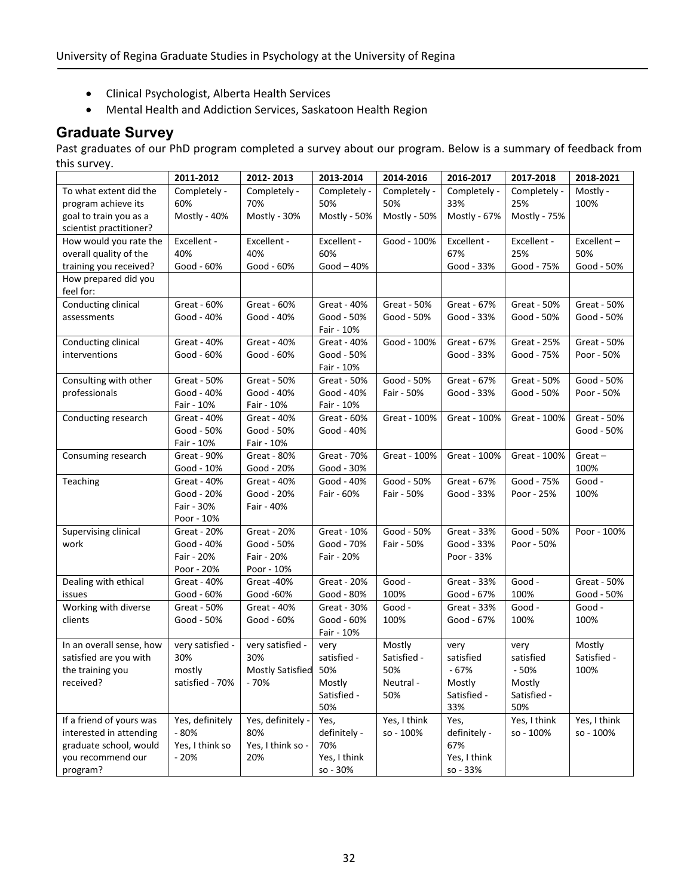- Clinical Psychologist, Alberta Health Services
- Mental Health and Addiction Services, Saskatoon Health Region

# **Graduate Survey**

Past graduates of our PhD program completed a survey about our program. Below is a summary of feedback from this survey.

|                          | 2011-2012        | 2012-2013               | 2013-2014    | 2014-2016    | 2016-2017    | 2017-2018          | 2018-2021    |
|--------------------------|------------------|-------------------------|--------------|--------------|--------------|--------------------|--------------|
| To what extent did the   | Completely -     | Completely -            | Completely - | Completely - | Completely - | Completely -       | Mostly -     |
| program achieve its      | 60%              | 70%                     | 50%          | 50%          | 33%          | 25%                | 100%         |
| goal to train you as a   | Mostly - 40%     | Mostly - 30%            | Mostly - 50% | Mostly - 50% | Mostly - 67% | Mostly - 75%       |              |
| scientist practitioner?  |                  |                         |              |              |              |                    |              |
| How would you rate the   | Excellent -      | Excellent -             | Excellent -  | Good - 100%  | Excellent -  | Excellent -        | Excellent-   |
| overall quality of the   | 40%              | 40%                     | 60%          |              | 67%          | 25%                | 50%          |
| training you received?   | Good - 60%       | Good - 60%              | $Good-40%$   |              | Good - 33%   | Good - 75%         | Good - 50%   |
| How prepared did you     |                  |                         |              |              |              |                    |              |
| feel for:                |                  |                         |              |              |              |                    |              |
| Conducting clinical      | Great - 60%      | Great - 60%             | Great - 40%  | Great - 50%  | Great - 67%  | Great - 50%        | Great - 50%  |
| assessments              | Good - 40%       | Good - 40%              | Good - 50%   | Good - 50%   | Good - 33%   | Good - 50%         | Good - 50%   |
|                          |                  |                         | Fair - 10%   |              |              |                    |              |
| Conducting clinical      | Great - 40%      | Great - 40%             | Great - 40%  | Good - 100%  | Great - 67%  | <b>Great - 25%</b> | Great - 50%  |
| interventions            | Good - 60%       | Good - 60%              | Good - 50%   |              | Good - 33%   | Good - 75%         | Poor - 50%   |
|                          |                  |                         | Fair - 10%   |              |              |                    |              |
| Consulting with other    | Great - 50%      | Great - 50%             | Great - 50%  | Good - 50%   | Great - 67%  | Great - 50%        | Good - 50%   |
| professionals            | Good - 40%       | Good - 40%              | Good - 40%   | Fair - 50%   | Good - 33%   | Good - 50%         | Poor - 50%   |
|                          | Fair - 10%       | Fair - 10%              | Fair - 10%   |              |              |                    |              |
| Conducting research      | Great - 40%      | Great - 40%             | Great - 60%  | Great - 100% | Great - 100% | Great - 100%       | Great - 50%  |
|                          | Good - 50%       | Good - 50%              | Good - 40%   |              |              |                    | Good - 50%   |
|                          | Fair - 10%       | Fair - 10%              |              |              |              |                    |              |
| Consuming research       | Great - 90%      | Great - 80%             | Great - 70%  | Great - 100% | Great - 100% | Great - 100%       | $Great -$    |
|                          | Good - 10%       | Good - 20%              | Good - 30%   |              |              |                    | 100%         |
| Teaching                 | Great - 40%      | Great - 40%             | Good - 40%   | Good - 50%   | Great - 67%  | Good - 75%         | Good -       |
|                          | Good - 20%       | Good - 20%              | Fair - 60%   | Fair - 50%   | Good - 33%   | Poor - 25%         | 100%         |
|                          | Fair - 30%       | Fair - 40%              |              |              |              |                    |              |
|                          | Poor - 10%       |                         |              |              |              |                    |              |
| Supervising clinical     | Great - 20%      | Great - 20%             | Great - 10%  | Good - 50%   | Great - 33%  | Good - 50%         | Poor - 100%  |
| work                     | Good - 40%       | Good - 50%              | Good - 70%   | Fair - 50%   | Good - 33%   | Poor - 50%         |              |
|                          | Fair - 20%       | Fair - 20%              | Fair - 20%   |              | Poor - 33%   |                    |              |
|                          | Poor - 20%       | Poor - 10%              |              |              |              |                    |              |
|                          | Great - 40%      |                         | Great - 20%  | Good -       |              | Good -             |              |
| Dealing with ethical     |                  | Great -40%              |              |              | Great - 33%  |                    | Great - 50%  |
| issues                   | Good - 60%       | Good -60%               | Good - 80%   | 100%         | Good - 67%   | 100%               | Good - 50%   |
| Working with diverse     | Great - 50%      | Great - 40%             | Great - 30%  | Good -       | Great - 33%  | Good -             | Good -       |
| clients                  | Good - 50%       | Good - 60%              | Good - 60%   | 100%         | Good - 67%   | 100%               | 100%         |
|                          |                  |                         | Fair - 10%   |              |              |                    |              |
| In an overall sense, how | very satisfied - | very satisfied -        | very         | Mostly       | very         | very               | Mostly       |
| satisfied are you with   | 30%              | 30%                     | satisfied -  | Satisfied -  | satisfied    | satisfied          | Satisfied -  |
| the training you         | mostly           | <b>Mostly Satisfied</b> | 50%          | 50%          | $-67%$       | $-50%$             | 100%         |
| received?                | satisfied - 70%  | $-70%$                  | Mostly       | Neutral -    | Mostly       | Mostly             |              |
|                          |                  |                         | Satisfied -  | 50%          | Satisfied -  | Satisfied -        |              |
|                          |                  |                         | 50%          |              | 33%          | 50%                |              |
| If a friend of yours was | Yes, definitely  | Yes, definitely -       | Yes,         | Yes, I think | Yes,         | Yes, I think       | Yes, I think |
| interested in attending  | $-80%$           | 80%                     | definitely - | so - 100%    | definitely - | so - 100%          | so - 100%    |
| graduate school, would   | Yes, I think so  | Yes, I think so -       | 70%          |              | 67%          |                    |              |
| you recommend our        | $-20%$           | 20%                     | Yes, I think |              | Yes, I think |                    |              |
| program?                 |                  |                         | so - 30%     |              | so - 33%     |                    |              |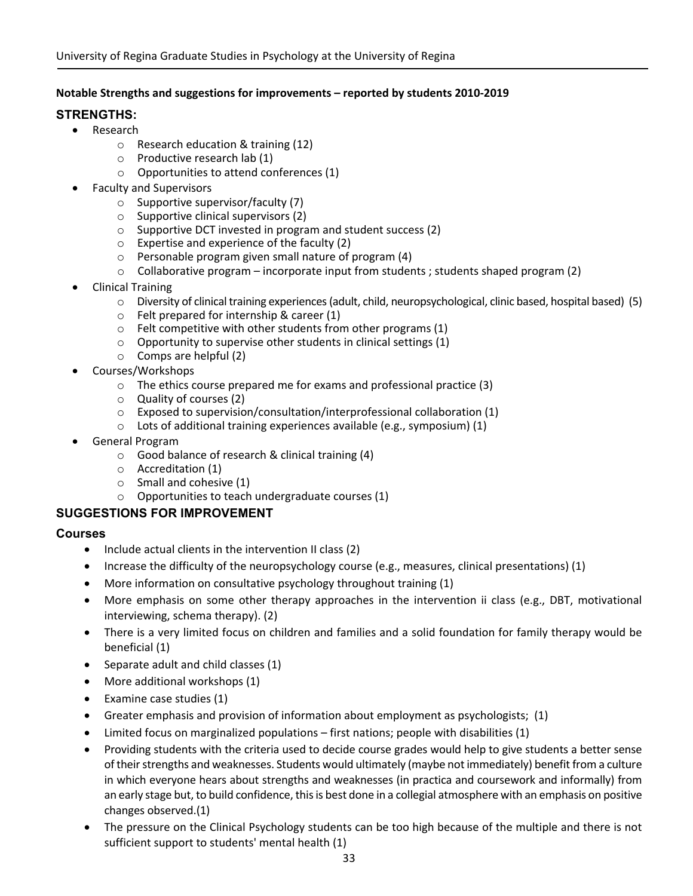### **Notable Strengths and suggestions for improvements – reported by students 2010‐2019**

## **STRENGTHS:**

- Research
	- o Research education & training (12)
	- o Productive research lab (1)
	- $\circ$  Opportunities to attend conferences (1)
- Faculty and Supervisors
	- $\circ$  Supportive supervisor/faculty (7)
	- o Supportive clinical supervisors (2)
	- o Supportive DCT invested in program and student success (2)
	- o Expertise and experience of the faculty (2)
	- o Personable program given small nature of program (4)
	- $\circ$  Collaborative program incorporate input from students ; students shaped program (2)
- Clinical Training
	- $\circ$  Diversity of clinical training experiences (adult, child, neuropsychological, clinic based, hospital based) (5)
	- o Felt prepared for internship & career (1)
	- $\circ$  Felt competitive with other students from other programs (1)
	- o Opportunity to supervise other students in clinical settings (1)
	- o Comps are helpful (2)
- Courses/Workshops
	- o The ethics course prepared me for exams and professional practice (3)
	- o Quality of courses (2)
	- o Exposed to supervision/consultation/interprofessional collaboration (1)
	- $\circ$  Lots of additional training experiences available (e.g., symposium) (1)
- General Program
	- o Good balance of research & clinical training (4)
	- o Accreditation (1)
	- o Small and cohesive (1)
	- o Opportunities to teach undergraduate courses (1)

### **SUGGESTIONS FOR IMPROVEMENT**

### **Courses**

- $\bullet$  Include actual clients in the intervention II class (2)
- Increase the difficulty of the neuropsychology course (e.g., measures, clinical presentations) (1)
- More information on consultative psychology throughout training (1)
- More emphasis on some other therapy approaches in the intervention ii class (e.g., DBT, motivational interviewing, schema therapy). (2)
- There is a very limited focus on children and families and a solid foundation for family therapy would be beneficial (1)
- Separate adult and child classes (1)
- More additional workshops (1)
- $\bullet$  Examine case studies (1)
- Greater emphasis and provision of information about employment as psychologists; (1)
- Limited focus on marginalized populations first nations; people with disabilities (1)
- Providing students with the criteria used to decide course grades would help to give students a better sense of their strengths and weaknesses. Students would ultimately (maybe not immediately) benefit from a culture in which everyone hears about strengths and weaknesses (in practica and coursework and informally) from an early stage but, to build confidence, this is best done in a collegial atmosphere with an emphasis on positive changes observed.(1)
- The pressure on the Clinical Psychology students can be too high because of the multiple and there is not sufficient support to students' mental health (1)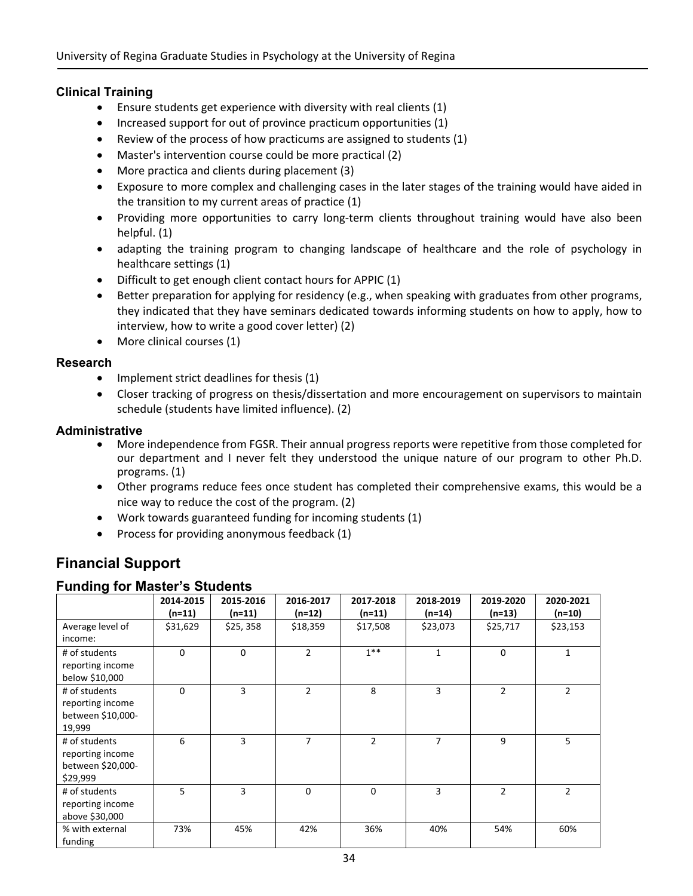### **Clinical Training**

- Ensure students get experience with diversity with real clients (1)
- Increased support for out of province practicum opportunities (1)
- Review of the process of how practicums are assigned to students  $(1)$
- Master's intervention course could be more practical (2)
- More practica and clients during placement (3)
- Exposure to more complex and challenging cases in the later stages of the training would have aided in the transition to my current areas of practice (1)
- Providing more opportunities to carry long-term clients throughout training would have also been helpful. (1)
- adapting the training program to changing landscape of healthcare and the role of psychology in healthcare settings (1)
- Difficult to get enough client contact hours for APPIC (1)
- Better preparation for applying for residency (e.g., when speaking with graduates from other programs, they indicated that they have seminars dedicated towards informing students on how to apply, how to interview, how to write a good cover letter) (2)
- More clinical courses (1)

### **Research**

- $\bullet$  Implement strict deadlines for thesis (1)
- Closer tracking of progress on thesis/dissertation and more encouragement on supervisors to maintain schedule (students have limited influence). (2)

### **Administrative**

- More independence from FGSR. Their annual progress reports were repetitive from those completed for our department and I never felt they understood the unique nature of our program to other Ph.D. programs. (1)
- Other programs reduce fees once student has completed their comprehensive exams, this would be a nice way to reduce the cost of the program. (2)
- Work towards guaranteed funding for incoming students (1)
- Process for providing anonymous feedback (1)

# **Financial Support**

### **Funding for Master's Students**

| ັ                                                                  | 2014-2015<br>$(n=11)$ | 2015-2016<br>$(n=11)$ | 2016-2017<br>$(n=12)$ | 2017-2018<br>$(n=11)$ | 2018-2019<br>$(n=14)$ | 2019-2020<br>$(n=13)$ | 2020-2021<br>$(n=10)$ |
|--------------------------------------------------------------------|-----------------------|-----------------------|-----------------------|-----------------------|-----------------------|-----------------------|-----------------------|
| Average level of<br>income:                                        | \$31,629              | \$25,358              | \$18,359              | \$17,508              | \$23,073              | \$25,717              | \$23,153              |
| # of students<br>reporting income<br>below \$10,000                | $\Omega$              | $\Omega$              | 2                     | $1**$                 | 1                     | 0                     | 1                     |
| # of students<br>reporting income<br>between \$10,000-<br>19,999   | $\Omega$              | 3                     | $\overline{2}$        | 8                     | 3                     | $\overline{2}$        | $\overline{2}$        |
| # of students<br>reporting income<br>between \$20,000-<br>\$29,999 | 6                     | 3                     | 7                     | $\overline{2}$        | $\overline{7}$        | 9                     | 5                     |
| # of students<br>reporting income<br>above \$30,000                | 5                     | 3                     | $\Omega$              | $\Omega$              | 3                     | $\overline{2}$        | $\overline{2}$        |
| % with external<br>funding                                         | 73%                   | 45%                   | 42%                   | 36%                   | 40%                   | 54%                   | 60%                   |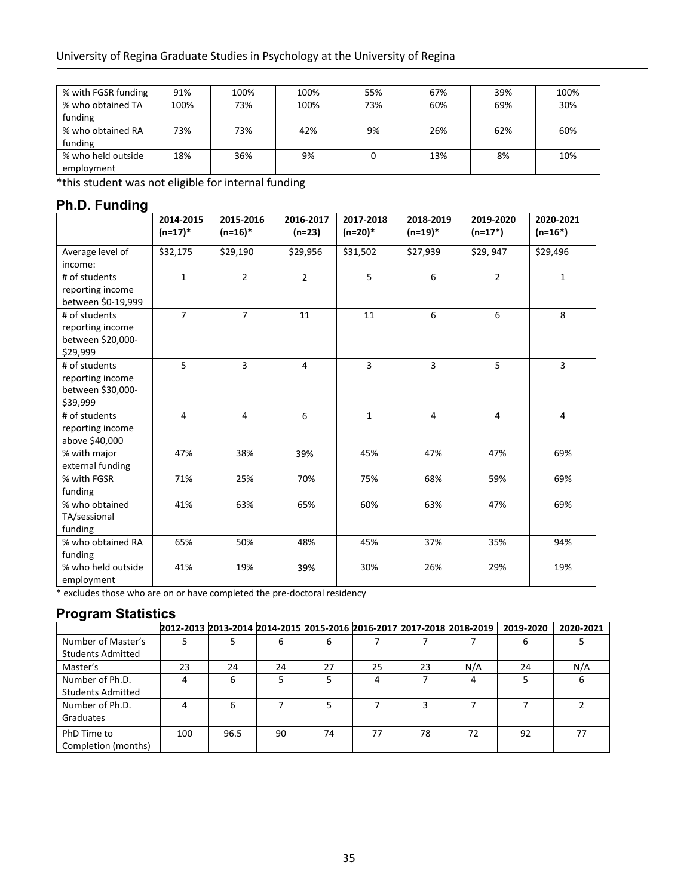| % with FGSR funding | 91%  | 100% | 100% | 55% | 67% | 39% | 100% |
|---------------------|------|------|------|-----|-----|-----|------|
| % who obtained TA   | 100% | 73%  | 100% | 73% | 60% | 69% | 30%  |
| funding             |      |      |      |     |     |     |      |
| % who obtained RA   | 73%  | 73%  | 42%  | 9%  | 26% | 62% | 60%  |
| funding             |      |      |      |     |     |     |      |
| % who held outside  | 18%  | 36%  | 9%   |     | 13% | 8%  | 10%  |
| employment          |      |      |      |     |     |     |      |

\*this student was not eligible for internal funding

## **Ph.D. Funding**

|                                                                    | 2014-2015<br>$(n=17)*$ | 2015-2016<br>$(n=16)*$ | 2016-2017<br>$(n=23)$ | 2017-2018<br>$(n=20)*$ | 2018-2019<br>$(n=19)*$ | 2019-2020<br>$(n=17*)$ | 2020-2021<br>$(n=16*)$ |
|--------------------------------------------------------------------|------------------------|------------------------|-----------------------|------------------------|------------------------|------------------------|------------------------|
| Average level of<br>income:                                        | \$32,175               | \$29,190               | \$29,956              | \$31,502               | \$27,939               | \$29,947               | \$29,496               |
| # of students<br>reporting income<br>between \$0-19,999            | $\mathbf{1}$           | $\overline{2}$         | $\overline{2}$        | 5                      | 6                      | $\overline{2}$         | $\mathbf{1}$           |
| # of students<br>reporting income<br>between \$20,000-<br>\$29,999 | $\overline{7}$         | $\overline{7}$         | 11                    | 11                     | 6                      | 6                      | 8                      |
| # of students<br>reporting income<br>between \$30,000-<br>\$39,999 | 5                      | 3                      | $\overline{4}$        | $\overline{3}$         | $\overline{3}$         | $\overline{5}$         | 3                      |
| # of students<br>reporting income<br>above \$40,000                | $\overline{4}$         | $\overline{4}$         | 6                     | $\mathbf{1}$           | $\overline{4}$         | $\overline{4}$         | $\overline{4}$         |
| % with major<br>external funding                                   | 47%                    | 38%                    | 39%                   | 45%                    | 47%                    | 47%                    | 69%                    |
| % with FGSR<br>funding                                             | 71%                    | 25%                    | 70%                   | 75%                    | 68%                    | 59%                    | 69%                    |
| % who obtained<br>TA/sessional<br>funding                          | 41%                    | 63%                    | 65%                   | 60%                    | 63%                    | 47%                    | 69%                    |
| % who obtained RA<br>funding                                       | 65%                    | 50%                    | 48%                   | 45%                    | 37%                    | 35%                    | 94%                    |
| % who held outside<br>employment                                   | 41%                    | 19%                    | 39%                   | 30%                    | 26%                    | 29%                    | 19%                    |

\* excludes those who are on or have completed the pre‐doctoral residency

## **Program Statistics**

|                          | 2012-2013 2013-2014 2014-2015 2015-2016 2016-2017 2017-2018 2018-2019 |      |    |    |    |    |     | 2019-2020 | 2020-2021 |
|--------------------------|-----------------------------------------------------------------------|------|----|----|----|----|-----|-----------|-----------|
| Number of Master's       |                                                                       |      | 6  | 6  |    |    |     | n         |           |
| <b>Students Admitted</b> |                                                                       |      |    |    |    |    |     |           |           |
| Master's                 | 23                                                                    | 24   | 24 | 27 | 25 | 23 | N/A | 24        | N/A       |
| Number of Ph.D.          | 4                                                                     | 6    |    |    | 4  |    | 4   |           |           |
| <b>Students Admitted</b> |                                                                       |      |    |    |    |    |     |           |           |
| Number of Ph.D.          |                                                                       | 6    |    |    |    |    |     |           |           |
| Graduates                |                                                                       |      |    |    |    |    |     |           |           |
| PhD Time to              | 100                                                                   | 96.5 | 90 | 74 | 77 | 78 | 72  | 92        |           |
| Completion (months)      |                                                                       |      |    |    |    |    |     |           |           |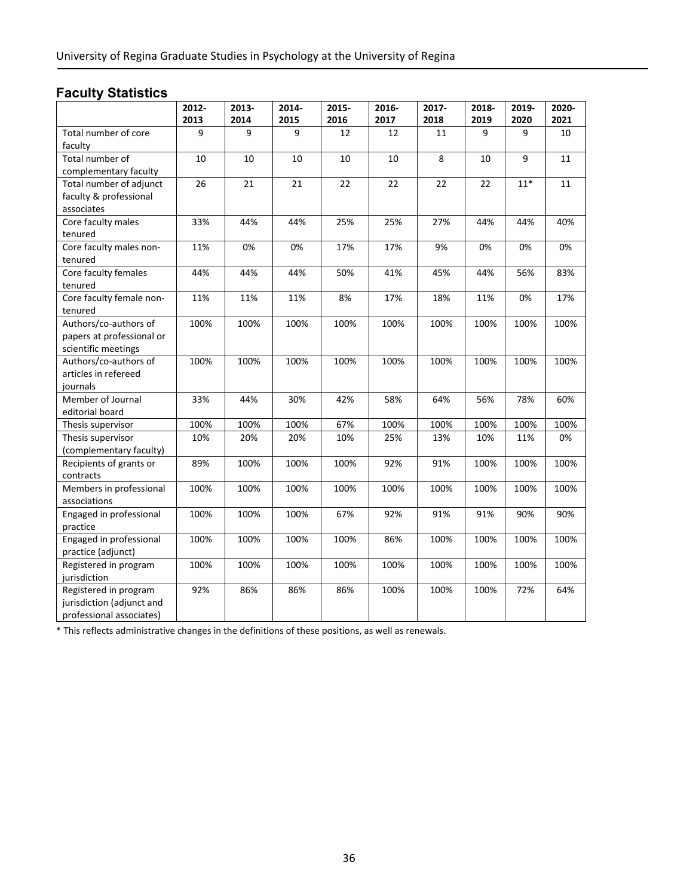# **Faculty Statistics**

|                                                                                                                                                                                                                                                                                                                                                                                                                                                                                                                                  | 2012-                                                                    | 2013-                                                                     | 2014-                                                                     | 2015-                                                                   | 2016-                                                                   | 2017-                                                                    | 2018-                                                                     | 2019-                                                                    | 2020-                                                                   |
|----------------------------------------------------------------------------------------------------------------------------------------------------------------------------------------------------------------------------------------------------------------------------------------------------------------------------------------------------------------------------------------------------------------------------------------------------------------------------------------------------------------------------------|--------------------------------------------------------------------------|---------------------------------------------------------------------------|---------------------------------------------------------------------------|-------------------------------------------------------------------------|-------------------------------------------------------------------------|--------------------------------------------------------------------------|---------------------------------------------------------------------------|--------------------------------------------------------------------------|-------------------------------------------------------------------------|
|                                                                                                                                                                                                                                                                                                                                                                                                                                                                                                                                  | 2013                                                                     | 2014                                                                      | 2015                                                                      | 2016                                                                    | 2017                                                                    | 2018                                                                     | 2019                                                                      | 2020                                                                     | 2021                                                                    |
| Total number of core                                                                                                                                                                                                                                                                                                                                                                                                                                                                                                             | 9                                                                        | 9                                                                         | 9                                                                         | 12                                                                      | 12                                                                      | 11                                                                       | 9                                                                         | 9                                                                        | 10                                                                      |
| faculty                                                                                                                                                                                                                                                                                                                                                                                                                                                                                                                          |                                                                          |                                                                           |                                                                           |                                                                         |                                                                         |                                                                          |                                                                           |                                                                          |                                                                         |
| Total number of                                                                                                                                                                                                                                                                                                                                                                                                                                                                                                                  | 10                                                                       | 10                                                                        | 10                                                                        | 10                                                                      | 10                                                                      | 8                                                                        | 10                                                                        | 9                                                                        | 11                                                                      |
| complementary faculty                                                                                                                                                                                                                                                                                                                                                                                                                                                                                                            |                                                                          |                                                                           |                                                                           |                                                                         |                                                                         |                                                                          |                                                                           |                                                                          |                                                                         |
| Total number of adjunct                                                                                                                                                                                                                                                                                                                                                                                                                                                                                                          | 26                                                                       | 21                                                                        | 21                                                                        | 22                                                                      | 22                                                                      | 22                                                                       | 22                                                                        | $11*$                                                                    | 11                                                                      |
| faculty & professional                                                                                                                                                                                                                                                                                                                                                                                                                                                                                                           |                                                                          |                                                                           |                                                                           |                                                                         |                                                                         |                                                                          |                                                                           |                                                                          |                                                                         |
| associates                                                                                                                                                                                                                                                                                                                                                                                                                                                                                                                       |                                                                          |                                                                           |                                                                           |                                                                         |                                                                         |                                                                          |                                                                           |                                                                          |                                                                         |
| Core faculty males                                                                                                                                                                                                                                                                                                                                                                                                                                                                                                               | 33%                                                                      | 44%                                                                       | 44%                                                                       | 25%                                                                     | 25%                                                                     | 27%                                                                      | 44%                                                                       | 44%                                                                      | 40%                                                                     |
| tenured                                                                                                                                                                                                                                                                                                                                                                                                                                                                                                                          |                                                                          |                                                                           |                                                                           |                                                                         |                                                                         |                                                                          |                                                                           |                                                                          |                                                                         |
| Core faculty males non-                                                                                                                                                                                                                                                                                                                                                                                                                                                                                                          | 11%                                                                      | 0%                                                                        | 0%                                                                        | 17%                                                                     | 17%                                                                     | 9%                                                                       | 0%                                                                        | 0%                                                                       | 0%                                                                      |
| tenured                                                                                                                                                                                                                                                                                                                                                                                                                                                                                                                          |                                                                          |                                                                           |                                                                           |                                                                         |                                                                         |                                                                          |                                                                           |                                                                          |                                                                         |
| Core faculty females                                                                                                                                                                                                                                                                                                                                                                                                                                                                                                             | 44%                                                                      | 44%                                                                       | 44%                                                                       | 50%                                                                     | 41%                                                                     | 45%                                                                      | 44%                                                                       | 56%                                                                      | 83%                                                                     |
| tenured                                                                                                                                                                                                                                                                                                                                                                                                                                                                                                                          |                                                                          |                                                                           |                                                                           |                                                                         |                                                                         |                                                                          |                                                                           |                                                                          |                                                                         |
| Core faculty female non-                                                                                                                                                                                                                                                                                                                                                                                                                                                                                                         | 11%                                                                      | 11%                                                                       | 11%                                                                       | 8%                                                                      | 17%                                                                     | 18%                                                                      | 11%                                                                       | 0%                                                                       | 17%                                                                     |
| tenured                                                                                                                                                                                                                                                                                                                                                                                                                                                                                                                          |                                                                          |                                                                           |                                                                           |                                                                         |                                                                         |                                                                          |                                                                           |                                                                          |                                                                         |
| Authors/co-authors of                                                                                                                                                                                                                                                                                                                                                                                                                                                                                                            | 100%                                                                     | 100%                                                                      | 100%                                                                      | 100%                                                                    | 100%                                                                    | 100%                                                                     | 100%                                                                      | 100%                                                                     | 100%                                                                    |
|                                                                                                                                                                                                                                                                                                                                                                                                                                                                                                                                  |                                                                          |                                                                           |                                                                           |                                                                         |                                                                         |                                                                          |                                                                           |                                                                          |                                                                         |
|                                                                                                                                                                                                                                                                                                                                                                                                                                                                                                                                  |                                                                          |                                                                           |                                                                           |                                                                         |                                                                         |                                                                          |                                                                           |                                                                          |                                                                         |
|                                                                                                                                                                                                                                                                                                                                                                                                                                                                                                                                  |                                                                          |                                                                           |                                                                           |                                                                         |                                                                         |                                                                          |                                                                           |                                                                          |                                                                         |
|                                                                                                                                                                                                                                                                                                                                                                                                                                                                                                                                  |                                                                          |                                                                           |                                                                           |                                                                         |                                                                         |                                                                          |                                                                           |                                                                          |                                                                         |
|                                                                                                                                                                                                                                                                                                                                                                                                                                                                                                                                  |                                                                          |                                                                           |                                                                           |                                                                         |                                                                         |                                                                          |                                                                           |                                                                          |                                                                         |
|                                                                                                                                                                                                                                                                                                                                                                                                                                                                                                                                  |                                                                          |                                                                           |                                                                           |                                                                         |                                                                         |                                                                          |                                                                           |                                                                          |                                                                         |
|                                                                                                                                                                                                                                                                                                                                                                                                                                                                                                                                  |                                                                          |                                                                           |                                                                           |                                                                         |                                                                         |                                                                          |                                                                           |                                                                          |                                                                         |
|                                                                                                                                                                                                                                                                                                                                                                                                                                                                                                                                  |                                                                          |                                                                           |                                                                           |                                                                         |                                                                         |                                                                          |                                                                           |                                                                          |                                                                         |
|                                                                                                                                                                                                                                                                                                                                                                                                                                                                                                                                  |                                                                          |                                                                           |                                                                           |                                                                         |                                                                         |                                                                          |                                                                           |                                                                          |                                                                         |
|                                                                                                                                                                                                                                                                                                                                                                                                                                                                                                                                  |                                                                          |                                                                           |                                                                           |                                                                         |                                                                         |                                                                          |                                                                           |                                                                          |                                                                         |
|                                                                                                                                                                                                                                                                                                                                                                                                                                                                                                                                  |                                                                          |                                                                           |                                                                           |                                                                         |                                                                         |                                                                          |                                                                           |                                                                          |                                                                         |
|                                                                                                                                                                                                                                                                                                                                                                                                                                                                                                                                  |                                                                          |                                                                           |                                                                           |                                                                         |                                                                         |                                                                          |                                                                           |                                                                          |                                                                         |
|                                                                                                                                                                                                                                                                                                                                                                                                                                                                                                                                  |                                                                          |                                                                           |                                                                           |                                                                         |                                                                         |                                                                          |                                                                           |                                                                          |                                                                         |
|                                                                                                                                                                                                                                                                                                                                                                                                                                                                                                                                  |                                                                          |                                                                           |                                                                           |                                                                         |                                                                         |                                                                          |                                                                           |                                                                          |                                                                         |
|                                                                                                                                                                                                                                                                                                                                                                                                                                                                                                                                  |                                                                          |                                                                           |                                                                           |                                                                         |                                                                         |                                                                          |                                                                           |                                                                          |                                                                         |
|                                                                                                                                                                                                                                                                                                                                                                                                                                                                                                                                  |                                                                          |                                                                           |                                                                           |                                                                         |                                                                         |                                                                          |                                                                           |                                                                          |                                                                         |
|                                                                                                                                                                                                                                                                                                                                                                                                                                                                                                                                  |                                                                          |                                                                           |                                                                           |                                                                         |                                                                         |                                                                          |                                                                           |                                                                          |                                                                         |
|                                                                                                                                                                                                                                                                                                                                                                                                                                                                                                                                  |                                                                          |                                                                           |                                                                           |                                                                         |                                                                         |                                                                          |                                                                           |                                                                          |                                                                         |
|                                                                                                                                                                                                                                                                                                                                                                                                                                                                                                                                  |                                                                          |                                                                           |                                                                           |                                                                         |                                                                         |                                                                          |                                                                           |                                                                          |                                                                         |
|                                                                                                                                                                                                                                                                                                                                                                                                                                                                                                                                  |                                                                          |                                                                           |                                                                           |                                                                         |                                                                         |                                                                          |                                                                           |                                                                          |                                                                         |
|                                                                                                                                                                                                                                                                                                                                                                                                                                                                                                                                  |                                                                          |                                                                           |                                                                           |                                                                         |                                                                         |                                                                          |                                                                           |                                                                          |                                                                         |
|                                                                                                                                                                                                                                                                                                                                                                                                                                                                                                                                  |                                                                          |                                                                           |                                                                           |                                                                         |                                                                         |                                                                          |                                                                           |                                                                          |                                                                         |
| papers at professional or<br>scientific meetings<br>Authors/co-authors of<br>articles in refereed<br>journals<br>Member of Journal<br>editorial board<br>Thesis supervisor<br>Thesis supervisor<br>(complementary faculty)<br>Recipients of grants or<br>contracts<br>Members in professional<br>associations<br>Engaged in professional<br>practice<br>Engaged in professional<br>practice (adjunct)<br>Registered in program<br>jurisdiction<br>Registered in program<br>jurisdiction (adjunct and<br>professional associates) | 100%<br>33%<br>100%<br>10%<br>89%<br>100%<br>100%<br>100%<br>100%<br>92% | 100%<br>44%<br>100%<br>20%<br>100%<br>100%<br>100%<br>100%<br>100%<br>86% | 100%<br>30%<br>100%<br>20%<br>100%<br>100%<br>100%<br>100%<br>100%<br>86% | 100%<br>42%<br>67%<br>10%<br>100%<br>100%<br>67%<br>100%<br>100%<br>86% | 100%<br>58%<br>100%<br>25%<br>92%<br>100%<br>92%<br>86%<br>100%<br>100% | 100%<br>64%<br>100%<br>13%<br>91%<br>100%<br>91%<br>100%<br>100%<br>100% | 100%<br>56%<br>100%<br>10%<br>100%<br>100%<br>91%<br>100%<br>100%<br>100% | 100%<br>78%<br>100%<br>11%<br>100%<br>100%<br>90%<br>100%<br>100%<br>72% | 100%<br>60%<br>100%<br>0%<br>100%<br>100%<br>90%<br>100%<br>100%<br>64% |

\* This reflects administrative changes in the definitions of these positions, as well as renewals.